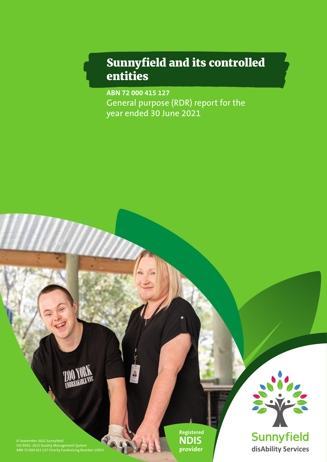# Sunnyfield and its controlled entities

**ABN 72 000 415 127** General purpose (RDR) report for the year ended 30 June 2021



© September 2021 Sunnyfield **NDIS** ISO 9001: 2015 Quality Management System ABN 72 000 415 127 Charity Fundraising Number 13915

**Registered provider**



disAbility Services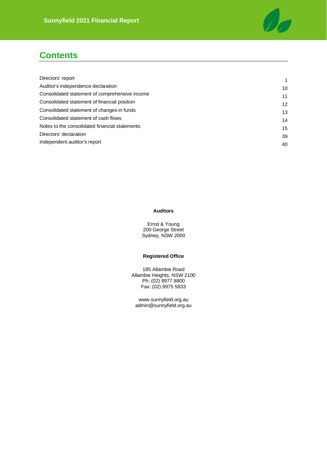

## **Contents**

| Directors' report                              | 1  |
|------------------------------------------------|----|
| Auditor's independence declaration             | 10 |
| Consolidated statement of comprehensive income | 11 |
| Consolidated statement of financial position   | 12 |
| Consolidated statement of changes in funds     | 13 |
| Consolidated statement of cash flows           | 14 |
| Notes to the consolidated financial statements | 15 |
| Directors' declaration                         | 39 |
| Independent auditor's report                   | 40 |

### **Auditors**

Ernst & Young 200 George Street Sydney, NSW 2000

### **Registered Office**

185 Allambie Road Allambie Heights, NSW 2100 Ph: (02) 8977 8800 Fax: (02) 9975 5833

www.sunnyfield.org.au admin@sunnyfield.org.au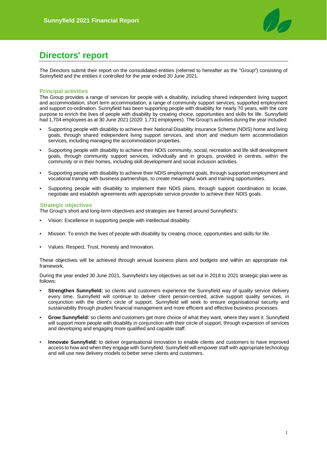

## **Directors' report**

The Directors submit their report on the consolidated entities (referred to hereafter as the "Group") consisting of Sunnyfield and the entities it controlled for the year ended 30 June 2021.

### **Principal activities**

The Group provides a range of services for people with a disability, including shared independent living support and accommodation, short term accommodation, a range of community support services, supported employment and support co-ordination. Sunnyfield has been supporting people with disability for nearly 70 years, with the core purpose to enrich the lives of people with disability by creating choice, opportunities and skills for life. Sunnyfield had 1,704 employees as at 30 June 2021 (2020: 1,731 employees). The Group's activities during the year included:

- Supporting people with disability to achieve their National Disability Insurance Scheme (NDIS) home and living goals, through shared independent living support services, and short and medium term accommodation services, including managing the accommodation properties.
- Supporting people with disability to achieve their NDIS community, social, recreation and life skill development goals, through community support services, individually and in groups, provided in centres, within the community or in their homes, including skill development and social inclusion activities.
- Supporting people with disability to achieve their NDIS employment goals, through supported employment and vocational training with business partnerships, to create meaningful work and training opportunities.
- Supporting people with disability to implement their NDIS plans, through support coordination to locate, negotiate and establish agreements with appropriate service provider to achieve their NDIS goals .

### **Strategic objectives**

The Group's short and long-term objectives and strategies are framed around Sunnyfield's:

- Vision: Excellence in supporting people with intellectual disability.
- Mission: To enrich the lives of people with disability by creating choice, opportunities and skills for life.
- Values: Respect, Trust, Honesty and Innovation.

These objectives will be achieved through annual business plans and budgets and within an appropriate risk framework.

During the year ended 30 June 2021, Sunnyfield's key objectives as set out in 2018 to 2021 strategic plan were as follows:

- **Strengthen Sunnyfield:** so clients and customers experience the Sunnyfield way of quality service delivery every time. Sunnyfield will continue to deliver client person-centred, active support quality services, in conjunction with the client's circle of support. Sunnyfield will seek to ensure organisational security and sustainability through prudent financial management and more efficient and effective business processes.
- **Grow Sunnyfield:** so clients and customers get more choice of what they want, where they want it. Sunnyfield will support more people with disability in conjunction with their circle of support, through expansion of services and developing and engaging more qualified and capable staff.
- **Innovate Sunnyfield:** to deliver organisational innovation to enable clients and customers to have improved access to how and when they engage with Sunnyfield. Sunnyfield will empower staff with appropriate technology and will use new delivery models to better serve clients and customers.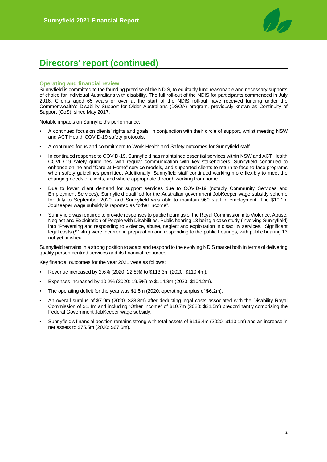

### **Operating and financial review**

Sunnyfield is committed to the founding premise of the NDIS, to equitably fund reasonable and necessary supports of choice for individual Australians with disability. The full roll-out of the NDIS for participants commenced in July 2016. Clients aged 65 years or over at the start of the NDIS roll-out have received funding under the Commonwealth's Disability Support for Older Australians (DSOA) program, previously known as Continuity of Support (CoS), since May 2017.

Notable impacts on Sunnyfield's performance:

- A continued focus on clients' rights and goals, in conjunction with their circle of support, whilst meeting NSW and ACT Health COVID-19 safety protocols.
- A continued focus and commitment to Work Health and Safety outcomes for Sunnyfield staff.
- In continued response to COVID-19, Sunnyfield has maintained essential services within NSW and ACT Health COVID-19 safety guidelines, with regular communication with key stakeholders. Sunnyfield continued to enhance online and "Care-at-Home" service models, and supported clients to return to face-to-face programs when safety guidelines permitted. Additionally, Sunnyfield staff continued working more flexibly to meet the changing needs of clients, and where appropriate through working from home.
- Due to lower client demand for support services due to COVID-19 (notably Community Services and Employment Services), Sunnyfield qualified for the Australian government JobKeeper wage subsidy scheme for July to September 2020, and Sunnyfield was able to maintain 960 staff in employment. The \$10.1m JobKeeper wage subsidy is reported as "other income".
- Sunnyfield was required to provide responses to public hearings of the Royal Commission into Violence, Abuse, Neglect and Exploitation of People with Disabilities. Public hearing 13 being a case study (involving Sunnyfield) into "Preventing and responding to violence, abuse, neglect and exploitation in disability services." Significant legal costs (\$1.4m) were incurred in preparation and responding to the public hearings, with public hearing 13 not yet finished.

Sunnyfield remains in a strong position to adapt and respond to the evolving NDIS market both in terms of delivering quality person centred services and its financial resources.

Key financial outcomes for the year 2021 were as follows:

- Revenue increased by 2.6% (2020: 22.8%) to \$113.3m (2020: \$110.4m).
- Expenses increased by 10.2% (2020: 19.5%) to \$114.8m (2020: \$104.2m).
- The operating deficit for the year was \$1.5m (2020: operating surplus of \$6.2m).
- An overall surplus of \$7.9m (2020: \$28.3m) after deducting legal costs associated with the Disability Royal Commission of \$1.4m and including "Other Income" of \$10.7m (2020: \$21.5m) predominantly comprising the Federal Government JobKeeper wage subsidy.
- Sunnyfield's financial position remains strong with total assets of \$116.4m (2020: \$113.1m) and an increase in net assets to \$75.5m (2020: \$67.6m).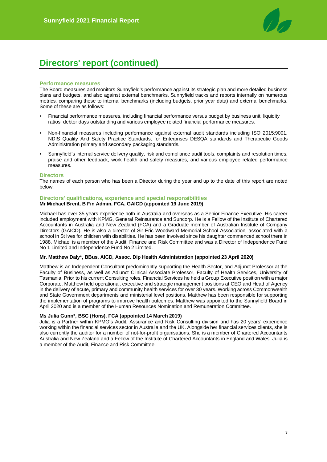

### **Performance measures**

The Board measures and monitors Sunnyfield's performance against its strategic plan and more detailed business plans and budgets, and also against external benchmarks. Sunnyfield tracks and reports internally on numerous metrics, comparing these to internal benchmarks (including budgets, prior year data) and external benchmarks. Some of these are as follows:

- Financial performance measures, including financial performance versus budget by business unit, liquidity ratios, debtor days outstanding and various employee related financial performance measures.
- Non-financial measures including performance against external audit standards including ISO 2015:9001, NDIS Quality And Safety Practice Standards, for Enterprises DESQA standards and Therapeutic Goods Administration primary and secondary packaging standards.
- Sunnyfield's internal service delivery quality, risk and compliance audit tools, complaints and resolution times, praise and other feedback, work health and safety measures, and various employee related performance measures.

### **Directors**

The names of each person who has been a Director during the year and up to the date of this report are noted below.

### **Directors' qualifications, experience and special responsibilities Mr Michael Brent, B Fin Admin, FCA, GAICD (appointed 19 June 2019)**

Michael has over 35 years experience both in Australia and overseas as a Senior Finance Executive. His career included employment with KPMG, General Reinsurance and Suncorp. He is a Fellow of the Institute of Chartered Accountants in Australia and New Zealand (FCA) and a Graduate member of Australian Institute of Company Directors (GAICD). He is also a director of Sir Eric Woodward Memorial School Association, associated with a school in St Ives for children with disabilities. He has been involved since his daughter commenced school there in 1988. Michael is a member of the Audit, Finance and Risk Committee and was a Director of Independence Fund No 1 Limited and Independence Fund No 2 Limited.

### **Mr. Matthew Daly\*, BBus, AICD, Assoc. Dip Health Administration (appointed 23 April 2020)**

Matthew is an Independent Consultant predominantly supporting the Health Sector, and Adjunct Professor at the Faculty of Business, as well as Adjunct Clinical Associate Professor, Faculty of Health Services, University of Tasmania. Prior to his current Consulting roles, Financial Services he held a Group Executive position with a major Corporate. Matthew held operational, executive and strategic management positions at CEO and Head of Agency in the delivery of acute, primary and community health services for over 30 years. Working across Commonwealth and State Government departments and ministerial level positions, Matthew has been responsible for supporting the implementation of programs to improve health outcomes. Matthew was appointed to the Sunnyfield Board in April 2020 and is a member of the Human Resources Nomination and Remuneration Committee.

### **Ms Julia Gunn\*, BSC (Hons), FCA (appointed 14 March 2019)**

Julia is a Partner within KPMG's Audit, Assurance and Risk Consulting division and has 20 years' experience working within the financial services sector in Australia and the UK. Alongside her financial services clients, she is also currently the auditor for a number of not-for-profit organisations. She is a member of Chartered Accountants Australia and New Zealand and a Fellow of the Institute of Chartered Accountants in England and Wales. Julia is a member of the Audit, Finance and Risk Committee.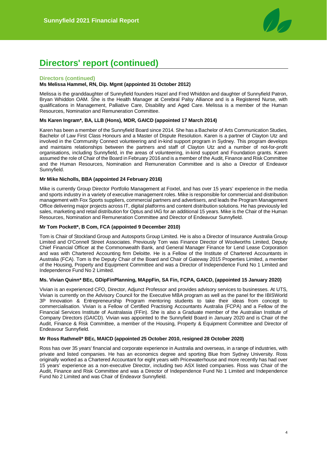

### **Directors (continued)**

### **Ms Melissa Hammel, RN, Dip. Mgmt (appointed 31 October 2012)**

Melissa is the granddaughter of Sunnyfield founders Hazel and Fred Whiddon and daughter of Sunnyfield Patron, Bryan Whiddon OAM. She is the Health Manager at Cerebral Palsy Alliance and is a Registered Nurse, with qualifications in Management, Palliative Care, Disability and Aged Care. Melissa is a member of the Human Resources, Nomination and Remuneration Committee.

### **Ms Karen Ingram\*, BA, LLB (Hons), MDR, GAICD (appointed 17 March 2014)**

Karen has been a member of the Sunnyfield Board since 2014. She has a Bachelor of Arts Communication Studies, Bachelor of Law First Class Honours and a Master of Dispute Resolution. Karen is a partner of Clayton Utz and involved in the Community Connect volunteering and in-kind support program in Sydney. This program develops and maintains relationships between the partners and staff of Clayton Utz and a number of not-for-profit organisations, including Sunnyfield, in the areas of volunteering, in-kind support and Foundation grants. Karen assumed the role of Chair of the Board in February 2016 and is a member of the Audit, Finance and Risk Committee and the Human Resources, Nomination and Remuneration Committee and is also a Director of Endeavor Sunnyfield.

### **Mr Mike Nicholls, BBA (appointed 24 February 2016)**

Mike is currently Group Director Portfolio Management at Foxtel, and has over 15 years' experience in the media and sports industry in a variety of executive management roles. Mike is responsible for commercial and distribution management with Fox Sports suppliers, commercial partners and advertisers, and leads the Program Management Office delivering major projects across IT, digital platforms and content distribution solutions. He has previously led sales, marketing and retail distribution for Optus and IAG for an additional 15 years. Mike is the Chair of the Human Resources, Nomination and Remuneration Committee and Director of Endeavour Sunnyfield.

### **Mr Tom Pockett\*, B Com, FCA (appointed 9 December 2010)**

Tom is Chair of Stockland Group and Autosports Group Limited. He is also a Director of Insurance Australia Group Limited and O'Connell Street Associates. Previously Tom was Finance Director of Woolworths Limited, Deputy Chief Financial Officer at the Commonwealth Bank, and General Manager Finance for Lend Lease Corporation and was with Chartered Accounting firm Deloitte. He is a Fellow of the Institute of Chartered Accountants in Australia (FCA). Tom is the Deputy Chair of the Board and Chair of Gateway 2015 Properties Limited, a member of the Housing, Property and Equipment Committee and was a Director of Independence Fund No 1 Limited and Independence Fund No 2 Limited.

### **Ms. Vivian Quinn\* BEc, GDipFinPlanning, MAppFin, SA Fin, FCPA, GAICD, (appointed 15 January 2020)**

Vivian is an experienced CFO, Director, Adjunct Professor and provides advisory services to businesses. At UTS, Vivian is currently on the Advisory Council for the Executive MBA program as well as the panel for the IBISWorld 3P Innovation & Entrepreneurship Program mentoring students to take their ideas from concept to commercialisation. Vivian is a Fellow of Certified Practising Accountants Australia (FCPA) and a Fellow of the Financial Services Institute of Australasia (FFin). She is also a Graduate member of the Australian Institute of Company Directors (GAICD). Vivian was appointed to the Sunnyfield Board in January 2020 and is Chair of the Audit, Finance & Risk Committee, a member of the Housing, Property & Equipment Committee and Director of Endeavour Sunnyfield.

### **Mr Ross Rathmell\* BEc, MAICD (appointed 25 October 2010, resigned 28 October 2020)**

Ross has over 35 years' financial and corporate experience in Australia and overseas, in a range of industries, with private and listed companies. He has an economics degree and sporting Blue from Sydney University. Ross originally worked as a Chartered Accountant for eight years with Pricewaterhouse and more recently has had over 15 years' experience as a non-executive Director, including two ASX listed companies. Ross was Chair of the Audit, Finance and Risk Committee and was a Director of Independence Fund No 1 Limited and Independence Fund No 2 Limited and was Chair of Endeavor Sunnyfield.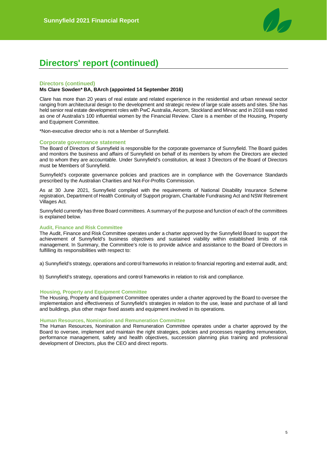

### **Directors (continued)**

### **Ms Clare Sowden\* BA, BArch (appointed 14 September 2016)**

Clare has more than 20 years of real estate and related experience in the residential and urban renewal sector ranging from architectural design to the development and strategic review of large scale assets and sites. She has held senior real estate development roles with PwC Australia, Aecom, Stockland and Mirvac and in 2018 was noted as one of Australia's 100 influential women by the Financial Review. Clare is a member of the Housing, Property and Equipment Committee.

\*Non-executive director who is not a Member of Sunnyfield.

### **Corporate governance statement**

The Board of Directors of Sunnyfield is responsible for the corporate governance of Sunnyfield. The Board guides and monitors the business and affairs of Sunnyfield on behalf of its members by whom the Directors are elected and to whom they are accountable. Under Sunnyfield's constitution, at least 3 Directors of the Board of Directors must be Members of Sunnyfield.

Sunnyfield's corporate governance policies and practices are in compliance with the Governance Standards prescribed by the Australian Charities and Not-For-Profits Commission.

As at 30 June 2021, Sunnyfield complied with the requirements of National Disability Insurance Scheme registration, Department of Health Continuity of Support program, Charitable Fundraising Act and NSW Retirement Villages Act.

Sunnyfield currently has three Board committees. A summary of the purpose and function of each of the committees is explained below.

### **Audit, Finance and Risk Committee**

The Audit, Finance and Risk Committee operates under a charter approved by the Sunnyfield Board to support the achievement of Sunnyfield's business objectives and sustained viability within established limits of risk management. In Summary, the Committee's role is to provide advice and assistance to the Board of Directors in fulfilling its responsibilities with respect to:

a) Sunnyfield's strategy, operations and control frameworks in relation to financial reporting and external audit, and;

b) Sunnyfield's strategy, operations and control frameworks in relation to risk and compliance.

### **Housing, Property and Equipment Committee**

The Housing, Property and Equipment Committee operates under a charter approved by the Board to oversee the implementation and effectiveness of Sunnyfield's strategies in relation to the use, lease and purchase of all land and buildings, plus other major fixed assets and equipment involved in its operations.

### **Human Resources, Nomination and Remuneration Committee**

The Human Resources, Nomination and Remuneration Committee operates under a charter approved by the Board to oversee, implement and maintain the right strategies, policies and processes regarding remuneration, performance management, safety and health objectives, succession planning plus training and professional development of Directors, plus the CEO and direct reports.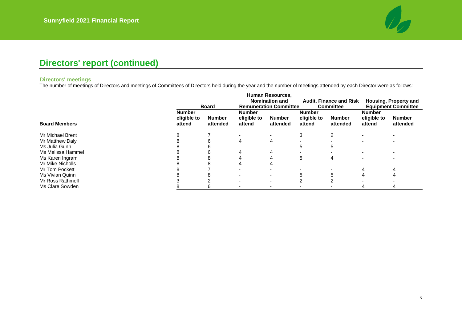

### **Directors' meetings**

The number of meetings of Directors and meetings of Committees of Directors held during the year and the number of meetings attended by each Director were as follows:

|                      |               |               |               | <b>Human Resources,</b>       |               |                                |               |                            |
|----------------------|---------------|---------------|---------------|-------------------------------|---------------|--------------------------------|---------------|----------------------------|
|                      |               |               |               | <b>Nomination and</b>         |               | <b>Audit, Finance and Risk</b> |               | Housing, Property and      |
|                      |               | <b>Board</b>  |               | <b>Remuneration Committee</b> |               | <b>Committee</b>               |               | <b>Equipment Committee</b> |
|                      | <b>Number</b> |               | <b>Number</b> |                               | <b>Number</b> |                                | <b>Number</b> |                            |
|                      | eligible to   | <b>Number</b> | eligible to   | <b>Number</b>                 | eligible to   | Number                         | eligible to   | <b>Number</b>              |
| <b>Board Members</b> | attend        | attended      | attend        | attended                      | attend        | attended                       | attend        | attended                   |
| Mr Michael Brent     |               |               |               |                               | 3             |                                |               |                            |
| Mr Matthew Daly      |               | h.            | 4             | 4                             |               |                                |               |                            |
|                      |               |               |               |                               |               |                                |               |                            |
| Ms Julia Gunn        |               | 'n.           |               |                               | 5             | 5                              |               |                            |
| Ms Melissa Hammel    |               |               |               |                               |               |                                |               |                            |
| Ms Karen Ingram      |               | ົ             |               |                               | 5             | 4                              |               |                            |
| Mr Mike Nicholls     |               |               | 4             | 4                             |               |                                |               |                            |
| Mr Tom Pockett       |               |               |               |                               |               |                                |               |                            |
| Ms Vivian Quinn      |               |               |               | $\blacksquare$                |               |                                |               |                            |
| Mr Ross Rathmell     |               |               |               | $\sim$                        |               |                                |               |                            |
| Ms Clare Sowden      |               | 6             |               | $\blacksquare$                |               |                                | 4             | 4                          |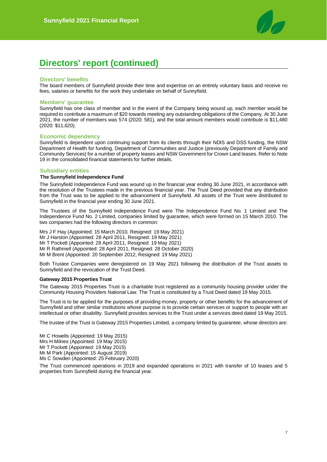

### **Directors' benefits**

The board members of Sunnyfield provide their time and expertise on an entirely voluntary basis and receive no fees, salaries or benefits for the work they undertake on behalf of Sunnyfield.

### **Members' guarantee**

Sunnyfield has one class of member and in the event of the Company being wound up, each member would be required to contribute a maximum of \$20 towards meeting any outstanding obligations of the Company. At 30 June 2021, the number of members was 574 (2020: 581), and the total amount members would contribute is \$11,480 (2020: \$11,620).

### **Economic dependency**

Sunnyfield is dependent upon continuing support from its clients through their NDIS and DSS funding, the NSW Department of Health for funding, Department of Communities and Justice (previously Department of Family and Community Services) for a number of property leases and NSW Government for Crown Land leases. Refer to Note 19 in the consolidated financial statements for further details.

### **Subsidiary entities**

### **The Sunnyfield Independence Fund**

The Sunnyfield Independence Fund was wound up in the financial year ending 30 June 2021, in accordance with the resolution of the Trustees made in the previous financial year. The Trust Deed provided that any distribution from the Trust was to be applied to the advancement of Sunnyfield. All assets of the Trust were distributed to Sunnyfield in the financial year ending 30 June 2021.

The Trustees of the Sunnyfield Independence Fund were The Independence Fund No. 1 Limited and The Independence Fund No. 2 Limited, companies limited by guarantee, which were formed on 15 March 2010. The two companies had the following directors in common:

Mrs J F Hay (Appointed: 15 March 2010, Resigned: 19 May 2021) Mr J Harston (Appointed: 28 April 2011, Resigned: 19 May 2021) Mr T Pockett (Appointed: 28 April 2011, Resigned: 19 May 2021) Mr R Rathmell (Appointed: 28 April 2011, Resigned: 28 October 2020) Mr M Brent (Appointed: 20 September 2012, Resigned: 19 May 2021)

Both Trustee Companies were deregistered on 19 May 2021 following the distribution of the Trust assets to Sunnyfield and the revocation of the Trust Deed.

### **Gateway 2015 Properties Trust**

The Gateway 2015 Properties Trust is a charitable trust registered as a community housing provider under the Community Housing Providers National Law. The Trust is constituted by a Trust Deed dated 19 May 2015.

The Trust is to be applied for the purposes of providing money, property or other benefits for the advancement of Sunnyfield and other similar institutions whose purpose is to provide certain services or support to people with an intellectual or other disability. Sunnyfield provides services to the Trust under a services deed dated 19 May 2015.

The trustee of the Trust is Gateway 2015 Properties Limited, a company limited by guarantee, whose directors are:

Mr C Howells (Appointed: 19 May 2015) Mrs H Milnes (Appointed: 19 May 2015) Mr T Pockett (Appointed: 19 May 2015) Mr M Park (Appointed: 15 August 2019) Ms C Sowden (Appointed: 25 February 2020)

The Trust commenced operations in 2019 and expanded operations in 2021 with transfer of 10 leases and 5 properties from Sunnyfield during the financial year.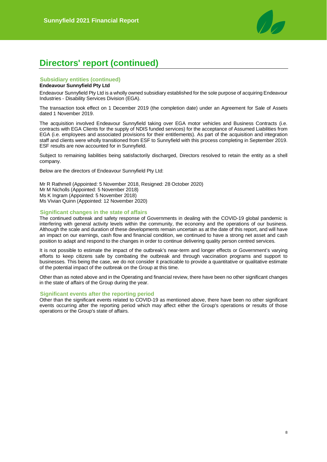

### **Subsidiary entities (continued)**

### **Endeavour Sunnyfield Pty Ltd**

Endeavour Sunnyfield Pty Ltd is a wholly owned subsidiary established for the sole purpose of acquiring Endeavour Industries - Disability Services Division (EGA).

The transaction took effect on 1 December 2019 (the completion date) under an Agreement for Sale of Assets dated 1 November 2019.

The acquisition involved Endeavour Sunnyfield taking over EGA motor vehicles and Business Contracts (i.e. contracts with EGA Clients for the supply of NDIS funded services) for the acceptance of Assumed Liabilities from EGA (i.e. employees and associated provisions for their entitlements). As part of the acquisition and integration staff and clients were wholly transitioned from ESF to Sunnyfield with this process completing in September 2019. ESF results are now accounted for in Sunnyfield.

Subject to remaining liabilities being satisfactorily discharged, Directors resolved to retain the entity as a shell company.

Below are the directors of Endeavour Sunnyfield Pty Ltd:

Mr R Rathmell (Appointed: 5 November 2018, Resigned: 28 October 2020) Mr M Nicholls (Appointed: 5 November 2018) Ms K Ingram (Appointed: 5 November 2018) Ms Vivian Quinn (Appointed: 12 November 2020)

### **Significant changes in the state of affairs**

The continued outbreak and safety response of Governments in dealing with the COVID-19 global pandemic is interfering with general activity levels within the community, the economy and the operations of our business. Although the scale and duration of these developments remain uncertain as at the date of this report, and will have an impact on our earnings, cash flow and financial condition, we continued to have a strong net asset and cash position to adapt and respond to the changes in order to continue delivering quality person centred services.

It is not possible to estimate the impact of the outbreak's near-term and longer effects or Government's varying efforts to keep citizens safe by combating the outbreak and through vaccination programs and support to businesses. This being the case, we do not consider it practicable to provide a quantitative or qualitative estimate of the potential impact of the outbreak on the Group at this time.

Other than as noted above and in the Operating and financial review, there have been no other significant changes in the state of affairs of the Group during the year.

### **Significant events after the reporting period**

Other than the significant events related to COVID-19 as mentioned above, there have been no other significant events occurring after the reporting period which may affect either the Group's operations or results of those operations or the Group's state of affairs.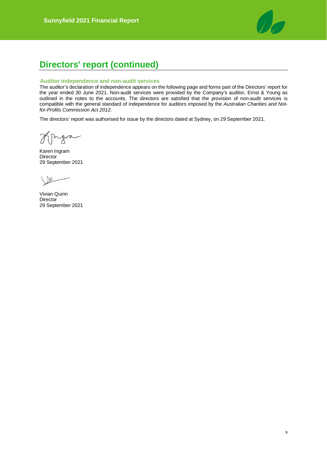

### **Auditor independence and non-audit services**

The auditor's declaration of independence appears on the following page and forms part of the Directors' report for the year ended 30 June 2021. Non-audit services were provided by the Company's auditor, Ernst & Young as outlined in the notes to the accounts. The directors are satisfied that the provision of non-audit services is compatible with the general standard of independence for auditors imposed by the *Australian Charities and Notfor-Profits Commission Act 2012*.

The directors' report was authorised for issue by the directors dated at Sydney, on 29 September 2021.

Karen Ingram Director 29 September 2021

Vivian Quinn Director 29 September 2021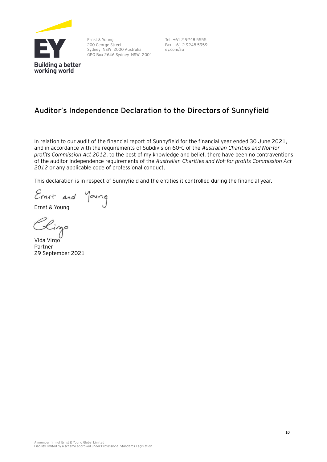

Ernst & Young 200 George Street Sydney NSW 2000 Australia GPO Box 2646 Sydney NSW 2001 Tel: +61 2 9248 5555 Fax: +61 2 9248 5959 ey.com/au

## **Auditor's Independence Declaration to the Directors of Sunnyfield**

In relation to our audit of the financial report of Sunnyfield for the financial year ended 30 June 2021, and in accordance with the requirements of Subdivision 60-C of the *Australian Charities and Not-for profits Commission Act 2012*, to the best of my knowledge and belief, there have been no contraventions of the auditor independence requirements of the *Australian Charities and Not-for profits Commission Act 2012* or any applicable code of professional conduct.

This declaration is in respect of Sunnyfield and the entities it controlled during the financial year.

Ernst and Young

Lirgo

Vida Virgo Partner 29 September 2021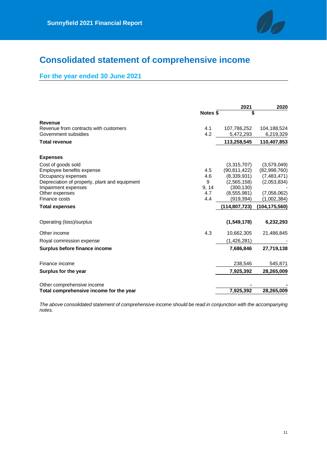

# **Consolidated statement of comprehensive income**

## **For the year ended 30 June 2021**

|                                                                                                                                                                                  |                                        | 2021                                                                                                  | 2020                                                                                    |
|----------------------------------------------------------------------------------------------------------------------------------------------------------------------------------|----------------------------------------|-------------------------------------------------------------------------------------------------------|-----------------------------------------------------------------------------------------|
|                                                                                                                                                                                  | Notes \$                               | \$                                                                                                    |                                                                                         |
| <b>Revenue</b><br>Revenue from contracts with customers<br>Government subsidies                                                                                                  | 4.1<br>4.2                             | 107,786,252<br>5,472,293                                                                              | 104,188,524<br>6,219,329                                                                |
| <b>Total revenue</b>                                                                                                                                                             |                                        | 113,258,545                                                                                           | 110,407,853                                                                             |
| <b>Expenses</b>                                                                                                                                                                  |                                        |                                                                                                       |                                                                                         |
| Cost of goods sold<br>Employee benefits expense<br>Occupancy expenses<br>Depreciation of property, plant and equipment<br>Impairment expenses<br>Other expenses<br>Finance costs | 4.5<br>4.6<br>9<br>9, 14<br>4.7<br>4.4 | (3,315,707)<br>(90, 811, 422)<br>(8,339,931)<br>(2,565,158)<br>(300, 130)<br>(8,555,981)<br>(919,394) | (3,579,049)<br>(82,998,760)<br>(7,483,471)<br>(2,053,834)<br>(7,058,062)<br>(1,002,384) |
| <b>Total expenses</b>                                                                                                                                                            |                                        | (114,807,723)                                                                                         | (104, 175, 560)                                                                         |
| Operating (loss)/surplus                                                                                                                                                         |                                        | (1,549,178)                                                                                           | 6,232,293                                                                               |
| Other income                                                                                                                                                                     | 4.3                                    | 10,662,305                                                                                            | 21,486,845                                                                              |
| Royal commission expense                                                                                                                                                         |                                        | (1,426,281)                                                                                           |                                                                                         |
| Surplus before finance income                                                                                                                                                    |                                        | 7,686,846                                                                                             | 27,719,138                                                                              |
| Finance income                                                                                                                                                                   |                                        | 238,546                                                                                               | 545,871                                                                                 |
| Surplus for the year                                                                                                                                                             |                                        | 7,925,392                                                                                             | 28,265,009                                                                              |
| Other comprehensive income                                                                                                                                                       |                                        |                                                                                                       |                                                                                         |
| Total comprehensive income for the year                                                                                                                                          |                                        | 7,925,392                                                                                             | 28,265,009                                                                              |

*The above consolidated statement of comprehensive income should be read in conjunction with the accompanying notes.*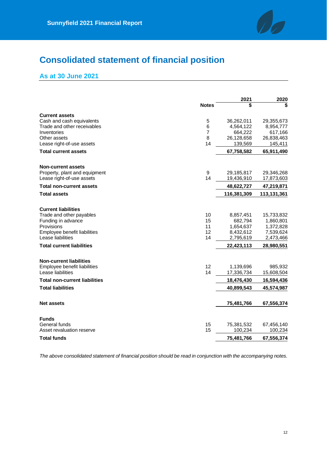

# **Consolidated statement of financial position**

## **As at 30 June 2021**

|                                            |              | 2021                   | 2020                   |
|--------------------------------------------|--------------|------------------------|------------------------|
|                                            | <b>Notes</b> | S                      |                        |
| <b>Current assets</b>                      |              |                        |                        |
| Cash and cash equivalents                  | 5            | 36,262,011             | 29,355,673             |
| Trade and other receivables                | 6            | 4,564,122              | 8,954,777              |
| Inventories                                | 7            | 664,222                | 617,166                |
| Other assets<br>Lease right-of-use assets  | 8<br>14      | 26,128,658<br>139,569  | 26,838,463<br>145,411  |
| <b>Total current assets</b>                |              | 67,758,582             | 65,911,490             |
|                                            |              |                        |                        |
| <b>Non-current assets</b>                  |              |                        |                        |
| Property, plant and equipment              | 9            | 29,185,817             | 29,346,268             |
| Lease right-of-use assets                  | 14           | 19,436,910             | 17,873,603             |
| <b>Total non-current assets</b>            |              | 48,622,727             | 47,219,871             |
| <b>Total assets</b>                        |              | 116,381,309            | 113,131,361            |
|                                            |              |                        |                        |
| <b>Current liabilities</b>                 |              |                        |                        |
| Trade and other payables                   | 10           | 8,857,451              | 15,733,832             |
| Funding in advance                         | 15           | 682,794                | 1,860,801              |
| Provisions<br>Employee benefit liabilities | 11<br>12     | 1,654,637<br>8,432,612 | 1,372,828<br>7,539,624 |
| Lease liabilities                          | 14           | 2,795,619              | 2,473,466              |
| <b>Total current liabilities</b>           |              | 22,423,113             | 28,980,551             |
|                                            |              |                        |                        |
| <b>Non-current liabilities</b>             |              |                        |                        |
| Employee benefit liabilities               | 12           | 1,139,696              | 985,932                |
| Lease liabilities                          | 14           | 17,336,734             | 15,608,504             |
| <b>Total non-current liabilities</b>       |              | 18,476,430             | 16,594,436             |
| <b>Total liabilities</b>                   |              | 40,899,543             | 45,574,987             |
| <b>Net assets</b>                          |              | 75,481,766             | 67,556,374             |
|                                            |              |                        |                        |
| <b>Funds</b>                               |              |                        |                        |
| General funds                              | 15           | 75,381,532             | 67,456,140             |
| Asset revaluation reserve                  | 15           | 100,234                | 100,234                |
| <b>Total funds</b>                         |              | 75,481,766             | 67,556,374             |
|                                            |              |                        |                        |

*The above consolidated statement of financial position should be read in conjunction with the accompanying notes.*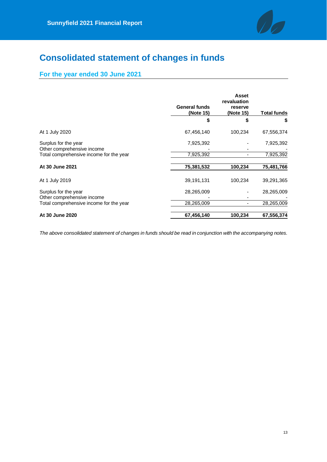

# **Consolidated statement of changes in funds**

### **For the year ended 30 June 2021**

|                                                                       | <b>General funds</b><br>(Note 15) | <b>Asset</b><br>revaluation<br>reserve<br>(Note 15) | <b>Total funds</b> |
|-----------------------------------------------------------------------|-----------------------------------|-----------------------------------------------------|--------------------|
|                                                                       | \$                                |                                                     | S                  |
| At 1 July 2020                                                        | 67,456,140                        | 100,234                                             | 67,556,374         |
| Surplus for the year<br>Other comprehensive income                    | 7,925,392                         |                                                     | 7,925,392          |
| Total comprehensive income for the year                               | 7,925,392                         |                                                     | 7,925,392          |
| At 30 June 2021                                                       | 75,381,532                        | 100,234                                             | 75,481,766         |
| At 1 July 2019                                                        | 39,191,131                        | 100,234                                             | 39,291,365         |
| Surplus for the year                                                  | 28,265,009                        |                                                     | 28,265,009         |
| Other comprehensive income<br>Total comprehensive income for the year | 28,265,009                        | $\overline{\phantom{a}}$                            | 28,265,009         |
| At 30 June 2020                                                       | 67,456,140                        | 100,234                                             | 67,556,374         |

*The above consolidated statement of changes in funds should be read in conjunction with the accompanying notes.*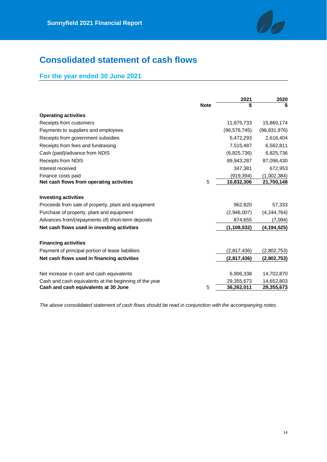

# **Consolidated statement of cash flows**

## **For the year ended 30 June 2021**

|                                                        |             | 2021           | 2020           |
|--------------------------------------------------------|-------------|----------------|----------------|
|                                                        | <b>Note</b> | \$             | \$             |
| <b>Operating activities</b>                            |             |                |                |
| Receipts from customers                                |             | 11,875,733     | 15,860,174     |
| Payments to suppliers and employees                    |             | (96, 576, 745) | (96, 931, 976) |
| Receipts from government subsidies                     |             | 5,472,293      | 2,616,404      |
| Receipts from fees and fundraising                     |             | 7,515,487      | 6,562,811      |
| Cash (paid)/advance from NDIS                          |             | (6,825,736)    | 6,825,736      |
| Receipts from NDIS                                     |             | 89,943,287     | 87,096,430     |
| Interest received                                      |             | 347,381        | 672,953        |
| Finance costs paid                                     |             | (919, 394)     | (1,002,384)    |
| Net cash flows from operating activities               | 5           | 10,832,306     | 21,700,148     |
| <b>Investing activities</b>                            |             |                |                |
| Proceeds from sale of property, plant and equipment    |             | 962,820        | 57,333         |
| Purchase of property, plant and equipment              |             | (2,946,007)    | (4, 244, 764)  |
| Advances from/(repayments of) short-term deposits      |             | 874,655        | (7,094)        |
| Net cash flows used in investing activities            |             | (1, 108, 532)  | (4, 194, 525)  |
| <b>Financing activities</b>                            |             |                |                |
| Payment of principal portion of lease liabilities      |             | (2,817,436)    | (2,802,753)    |
| Net cash flows used in financing activities            |             | (2,817,436)    | (2,802,753)    |
| Net increase in cash and cash equivalents              |             | 6,906,338      | 14,702,870     |
| Cash and cash equivalents at the beginning of the year |             | 29,355,673     | 14,652,803     |
| Cash and cash equivalents at 30 June                   | 5           | 36,262,011     | 29,355,673     |

*The above consolidated statement of cash flows should be read in conjunction with the accompanying notes.*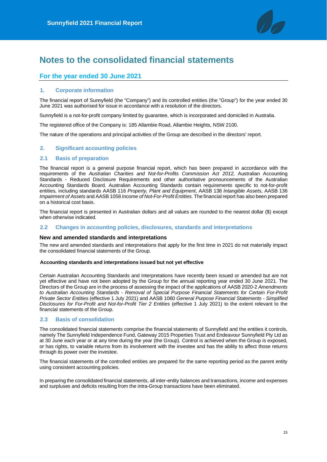

## **Notes to the consolidated financial statements**

### **For the year ended 30 June 2021**

### **1. Corporate information**

The financial report of Sunnyfield (the "Company") and its controlled entities (the "Group") for the year ended 30 June 2021 was authorised for issue in accordance with a resolution of the directors.

Sunnyfield is a not-for-profit company limited by guarantee, which is incorporated and domiciled in Australia.

The registered office of the Company is: 185 Allambie Road, Allambie Heights, NSW 2100.

The nature of the operations and principal activities of the Group are described in the directors' report.

### **2. Significant accounting policies**

### **2.1 Basis of preparation**

The financial report is a general purpose financial report, which has been prepared in accordance with the requirements of the *Australian Charities and Not-for-Profits Commission Act 2012,* Australian Accounting Standards - Reduced Disclosure Requirements and other authoritative pronouncements of the Australian Accounting Standards Board. Australian Accounting Standards contain requirements specific to not-for-profit entities, including standards AASB 116 *Property, Plant and Equipment*, AASB 138 *Intangible Assets*, AASB 136 *Impairment of Assets* and AASB 1058 *Income of Not-For-Profit Entities*. The financial report has also been prepared on a historical cost basis.

The financial report is presented in Australian dollars and all values are rounded to the nearest dollar (\$) except when otherwise indicated.

### **2.2 Changes in accounting policies, disclosures, standards and interpretations**

### **New and amended standards and interpretations**

The new and amended standards and interpretations that apply for the first time in 2021 do not materially impact the consolidated financial statements of the Group.

### **Accounting standards and interpretations issued but not yet effective**

Certain Australian Accounting Standards and Interpretations have recently been issued or amended but are not yet effective and have not been adopted by the Group for the annual reporting year ended 30 June 2021. The Directors of the Group are in the process of assessing the impact of the applications of AASB 2020-2 *Amendments to Australian Accounting Standards - Removal of Special Purpose Financial Statements for Certain For-Profit Private Sector Entities* (effective 1 July 2021) and AASB 1060 *General Purpose Financial Statements - Simplified Disclosures for For-Profit and Not-for-Profit Tier 2 Entities* (effective 1 July 2021) to the extent relevant to the financial statements of the Group.

### **2.3 Basis of consolidation**

The consolidated financial statements comprise the financial statements of Sunnyfield and the entities it controls, namely The Sunnyfield Independence Fund, Gateway 2015 Properties Trust and Endeavour Sunnyfield Pty Ltd as at 30 June each year or at any time during the year (the Group). Control is achieved when the Group is exposed, or has rights, to variable returns from its involvement with the investee and has the ability to affect those returns through its power over the investee.

The financial statements of the controlled entities are prepared for the same reporting period as the parent entity using consistent accounting policies.

In preparing the consolidated financial statements, all inter-entity balances and transactions, income and expenses and surpluses and deficits resulting from the intra-Group transactions have been eliminated.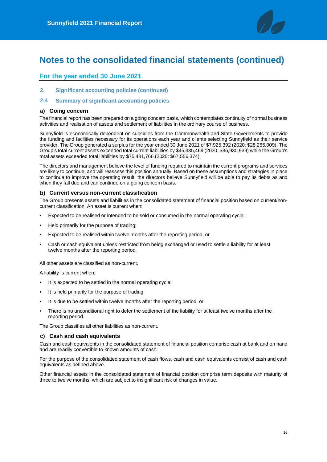

### **For the year ended 30 June 2021**

**2. Significant accounting policies (continued)**

### **2.4 Summary of significant accounting policies**

### **a) Going concern**

The financial report has been prepared on a going concern basis, which contemplates continuity of normal business activities and realisation of assets and settlement of liabilities in the ordinary course of business.

Sunnyfield is economically dependent on subsidies from the Commonwealth and State Governments to provide the funding and facilities necessary for its operations each year and clients selecting Sunnyfield as their service provider. The Group generated a surplus for the year ended 30 June 2021 of \$7,925,392 (2020: \$28,265,009). The Group's total current assets exceeded total current liabilities by \$45,335,469 (2020: \$36,930,939) while the Group's total assets exceeded total liabilities by \$75,481,766 (2020: \$67,556,374).

The directors and management believe the level of funding required to maintain the current programs and services are likely to continue, and will reassess this position annually. Based on these assumptions and strategies in place to continue to improve the operating result, the directors believe Sunnyfield will be able to pay its debts as and when they fall due and can continue on a going concern basis.

### **b) Current versus non-current classification**

The Group presents assets and liabilities in the consolidated statement of financial position based on current/noncurrent classification. An asset is current when:

- Expected to be realised or intended to be sold or consumed in the normal operating cycle;
- Held primarily for the purpose of trading;
- Expected to be realised within twelve months after the reporting period, or
- Cash or cash equivalent unless restricted from being exchanged or used to settle a liability for at least twelve months after the reporting period.

All other assets are classified as non-current.

A liability is current when:

- It is expected to be settled in the normal operating cycle;
- It is held primarily for the purpose of trading;
- It is due to be settled within twelve months after the reporting period, or
- There is no unconditional right to defer the settlement of the liability for at least twelve months after the reporting period.

The Group classifies all other liabilities as non-current.

### **c) Cash and cash equivalents**

Cash and cash equivalents in the consolidated statement of financial position comprise cash at bank and on hand and are readily convertible to known amounts of cash.

For the purpose of the consolidated statement of cash flows, cash and cash equivalents consist of cash and cash equivalents as defined above.

Other financial assets in the consolidated statement of financial position comprise term deposits with maturity of three to twelve months, which are subject to insignificant risk of changes in value.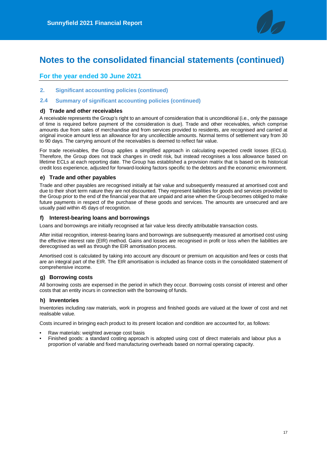

### **For the year ended 30 June 2021**

### **2. Significant accounting policies (continued)**

### **2.4 Summary of significant accounting policies (continued)**

### **d) Trade and other receivables**

A receivable represents the Group's right to an amount of consideration that is unconditional (i.e., only the passage of time is required before payment of the consideration is due). Trade and other receivables, which comprise amounts due from sales of merchandise and from services provided to residents, are recognised and carried at original invoice amount less an allowance for any uncollectible amounts. Normal terms of settlement vary from 30 to 90 days. The carrying amount of the receivables is deemed to reflect fair value.

For trade receivables, the Group applies a simplified approach in calculating expected credit losses (ECLs). Therefore, the Group does not track changes in credit risk, but instead recognises a loss allowance based on lifetime ECLs at each reporting date. The Group has established a provision matrix that is based on its historical credit loss experience, adjusted for forward-looking factors specific to the debtors and the economic environment.

### **e) Trade and other payables**

Trade and other payables are recognised initially at fair value and subsequently measured at amortised cost and due to their short term nature they are not discounted. They represent liabilities for goods and services provided to the Group prior to the end of the financial year that are unpaid and arise when the Group becomes obliged to make future payments in respect of the purchase of these goods and services. The amounts are unsecured and are usually paid within 45 days of recognition.

### **f) Interest-bearing loans and borrowings**

Loans and borrowings are initially recognised at fair value less directly attributable transaction costs.

After initial recognition, interest-bearing loans and borrowings are subsequently measured at amortised cost using the effective interest rate (EIR) method. Gains and losses are recognised in profit or loss when the liabilities are derecognised as well as through the EIR amortisation process.

Amortised cost is calculated by taking into account any discount or premium on acquisition and fees or costs that are an integral part of the EIR. The EIR amortisation is included as finance costs in the consolidated statement of comprehensive income.

### **g) Borrowing costs**

All borrowing costs are expensed in the period in which they occur. Borrowing costs consist of interest and other costs that an entity incurs in connection with the borrowing of funds.

### **h) Inventories**

Inventories including raw materials, work in progress and finished goods are valued at the lower of cost and net realisable value.

Costs incurred in bringing each product to its present location and condition are accounted for, as follows:

- Raw materials: weighted average cost basis
- Finished goods: a standard costing approach is adopted using cost of direct materials and labour plus a proportion of variable and fixed manufacturing overheads based on normal operating capacity.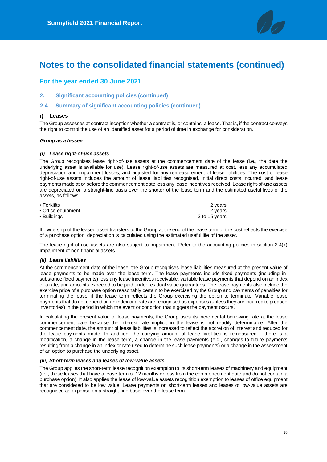

### **For the year ended 30 June 2021**

**2. Significant accounting policies (continued)**

### **2.4 Summary of significant accounting policies (continued)**

### **i) Leases**

The Group assesses at contract inception whether a contract is, or contains, a lease. That is, if the contract conveys the right to control the use of an identified asset for a period of time in exchange for consideration.

### *Group as a lessee*

### *(i) Lease right-of-use assets*

The Group recognises lease right-of-use assets at the commencement date of the lease (i.e., the date the underlying asset is available for use). Lease right-of-use assets are measured at cost, less any accumulated depreciation and impairment losses, and adjusted for any remeasurement of lease liabilities. The cost of lease right-of-use assets includes the amount of lease liabilities recognised, initial direct costs incurred, and lease payments made at or before the commencement date less any lease incentives received. Lease right-of-use assets are depreciated on a straight-line basis over the shorter of the lease term and the estimated useful lives of the assets, as follows:

| $\bullet$ Forklifts | 2 years       |
|---------------------|---------------|
| • Office equipment  | 2 years       |
| • Buildings         | 3 to 15 years |

If ownership of the leased asset transfers to the Group at the end of the lease term or the cost reflects the exercise of a purchase option, depreciation is calculated using the estimated useful life of the asset.

The lease right-of-use assets are also subject to impairment. Refer to the accounting policies in section 2.4(k) Impairment of non-financial assets.

### *(ii) Lease liabilities*

At the commencement date of the lease, the Group recognises lease liabilities measured at the present value of lease payments to be made over the lease term. The lease payments include fixed payments (including insubstance fixed payments) less any lease incentives receivable, variable lease payments that depend on an index or a rate, and amounts expected to be paid under residual value guarantees. The lease payments also include the exercise price of a purchase option reasonably certain to be exercised by the Group and payments of penalties for terminating the lease, if the lease term reflects the Group exercising the option to terminate. Variable lease payments that do not depend on an index or a rate are recognised as expenses (unless they are incurred to produce inventories) in the period in which the event or condition that triggers the payment occurs.

In calculating the present value of lease payments, the Group uses its incremental borrowing rate at the lease commencement date because the interest rate implicit in the lease is not readily determinable. After the commencement date, the amount of lease liabilities is increased to reflect the accretion of interest and reduced for the lease payments made. In addition, the carrying amount of lease liabilities is remeasured if there is a modification, a change in the lease term, a change in the lease payments (e.g., changes to future payments resulting from a change in an index or rate used to determine such lease payments) or a change in the assessment of an option to purchase the underlying asset.

### *(iii) Short-term leases and leases of low-value assets*

The Group applies the short-term lease recognition exemption to its short-term leases of machinery and equipment (i.e., those leases that have a lease term of 12 months or less from the commencement date and do not contain a purchase option). It also applies the lease of low-value assets recognition exemption to leases of office equipment that are considered to be low value. Lease payments on short-term leases and leases of low-value assets are recognised as expense on a straight-line basis over the lease term.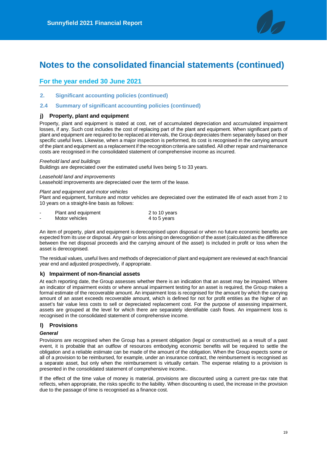

### **For the year ended 30 June 2021**

**2. Significant accounting policies (continued)**

### **2.4 Summary of significant accounting policies (continued)**

### **j) Property, plant and equipment**

Property, plant and equipment is stated at cost, net of accumulated depreciation and accumulated impairment losses, if any. Such cost includes the cost of replacing part of the plant and equipment. When significant parts of plant and equipment are required to be replaced at intervals, the Group depreciates them separately based on their specific useful lives. Likewise, when a major inspection is performed, its cost is recognised in the carrying amount of the plant and equipment as a replacement if the recognition criteria are satisfied. All other repair and maintenance costs are recognised in the consolidated statement of comprehensive income as incurred.

### *Freehold land and buildings*

Buildings are depreciated over the estimated useful lives being 5 to 33 years.

### *Leasehold land and improvements*

Leasehold improvements are depreciated over the term of the lease.

### *Plant and equipment and motor vehicles*

Plant and equipment, furniture and motor vehicles are depreciated over the estimated life of each asset from 2 to 10 years on a straight-line basis as follows:

| - | Plant and equipment | 2 to 10 years |
|---|---------------------|---------------|
| - | Motor vehicles      | 4 to 5 years  |

An item of property, plant and equipment is derecognised upon disposal or when no future economic benefits are expected from its use or disposal. Any gain or loss arising on derecognition of the asset (calculated as the difference between the net disposal proceeds and the carrying amount of the asset) is included in profit or loss when the asset is derecognised.

The residual values, useful lives and methods of depreciation of plant and equipment are reviewed at each financial year end and adjusted prospectively, if appropriate.

### **k) Impairment of non-financial assets**

At each reporting date, the Group assesses whether there is an indication that an asset may be impaired. Where an indicator of impairment exists or where annual impairment testing for an asset is required, the Group makes a formal estimate of the recoverable amount. An impairment loss is recognised for the amount by which the carrying amount of an asset exceeds recoverable amount, which is defined for not for profit entities as the higher of an asset's fair value less costs to sell or depreciated replacement cost. For the purpose of assessing impairment, assets are grouped at the level for which there are separately identifiable cash flows. An impairment loss is recognised in the consolidated statement of comprehensive income.

### **l) Provisions**

### *General*

Provisions are recognised when the Group has a present obligation (legal or constructive) as a result of a past event, it is probable that an outflow of resources embodying economic benefits will be required to settle the obligation and a reliable estimate can be made of the amount of the obligation. When the Group expects some or all of a provision to be reimbursed, for example, under an insurance contract, the reimbursement is recognised as a separate asset, but only when the reimbursement is virtually certain. The expense relating to a provision is presented in the consolidated statement of comprehensive income..

If the effect of the time value of money is material, provisions are discounted using a current pre-tax rate that reflects, when appropriate, the risks specific to the liability. When discounting is used, the increase in the provision due to the passage of time is recognised as a finance cost.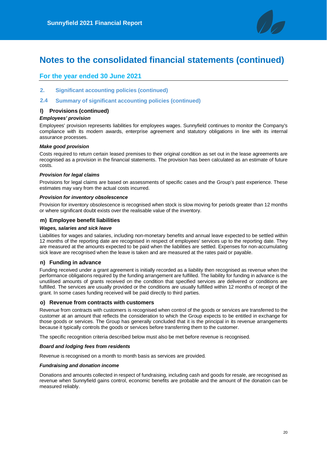

### **For the year ended 30 June 2021**

### **2. Significant accounting policies (continued)**

### **2.4 Summary of significant accounting policies (continued)**

### **l) Provisions (continued)**

### *Employees' provision*

Employees' provision represents liabilities for employees wages. Sunnyfield continues to monitor the Company's compliance with its modern awards, enterprise agreement and statutory obligations in line with its internal assurance processes.

### *Make good provision*

Costs required to return certain leased premises to their original condition as set out in the lease agreements are recognised as a provision in the financial statements. The provision has been calculated as an estimate of future costs.

### *Provision for legal claims*

Provisions for legal claims are based on assessments of specific cases and the Group's past experience. These estimates may vary from the actual costs incurred.

### *Provision for inventory obsolescence*

Provision for inventory obsolescence is recognised when stock is slow moving for periods greater than 12 months or where significant doubt exists over the realisable value of the inventory.

### **m) Employee benefit liabilities**

### *Wages, salaries and sick leave*

Liabilities for wages and salaries, including non-monetary benefits and annual leave expected to be settled within 12 months of the reporting date are recognised in respect of employees' services up to the reporting date. They are measured at the amounts expected to be paid when the liabilities are settled. Expenses for non-accumulating sick leave are recognised when the leave is taken and are measured at the rates paid or payable.

### **n) Funding in advance**

Funding received under a grant agreement is initially recorded as a liability then recognised as revenue when the performance obligations required by the funding arrangement are fulfilled. The liability for funding in advance is the unutilised amounts of grants received on the condition that specified services are delivered or conditions are fulfilled. The services are usually provided or the conditions are usually fulfilled within 12 months of receipt of the grant. In some cases funding received will be paid directly to third parties.

### **o) Revenue from contracts with customers**

Revenue from contracts with customers is recognised when control of the goods or services are transferred to the customer at an amount that reflects the consideration to which the Group expects to be entitled in exchange for those goods or services. The Group has generally concluded that it is the principal in its revenue arrangements because it typically controls the goods or services before transferring them to the customer.

The specific recognition criteria described below must also be met before revenue is recognised.

### *Board and lodging fees from residents*

Revenue is recognised on a month to month basis as services are provided.

### *Fundraising and donation income*

Donations and amounts collected in respect of fundraising, including cash and goods for resale, are recognised as revenue when Sunnyfield gains control, economic benefits are probable and the amount of the donation can be measured reliably.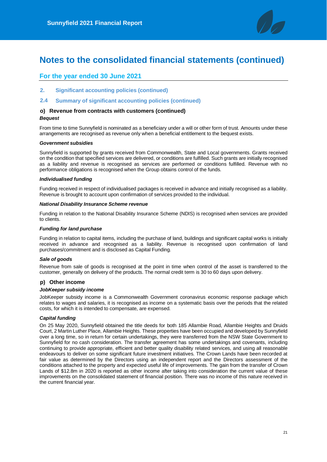

### **For the year ended 30 June 2021**

### **2. Significant accounting policies (continued)**

### **2.4 Summary of significant accounting policies (continued)**

### **o) Revenue from contracts with customers (continued)**

### *Bequest*

From time to time Sunnyfield is nominated as a beneficiary under a will or other form of trust. Amounts under these arrangements are recognised as revenue only when a beneficial entitlement to the bequest exists.

### *Government subsidies*

Sunnyfield is supported by grants received from Commonwealth, State and Local governments. Grants received on the condition that specified services are delivered, or conditions are fulfilled. Such grants are initially recognised as a liability and revenue is recognised as services are performed or conditions fulfilled. Revenue with no performance obligations is recognised when the Group obtains control of the funds.

### *Individualised funding*

Funding received in respect of individualised packages is received in advance and initially recognised as a liability. Revenue is brought to account upon confirmation of services provided to the individual.

### *National Disability Insurance Scheme revenue*

Funding in relation to the National Disability Insurance Scheme (NDIS) is recognised when services are provided to clients.

### *Funding for land purchase*

Funding in relation to capital items, including the purchase of land, buildings and significant capital works is initially received in advance and recognised as a liability. Revenue is recognised upon confirmation of land purchases/commitment and is disclosed as Capital Funding.

### *Sale of goods*

Revenue from sale of goods is recognised at the point in time when control of the asset is transferred to the customer, generally on delivery of the products. The normal credit term is 30 to 60 days upon delivery.

### **p) Other income**

### *JobKeeper subsidy income*

JobKeeper subsidy income is a Commonwealth Government coronavirus economic response package which relates to wages and salaries, it is recognised as income on a systematic basis over the periods that the related costs, for which it is intended to compensate, are expensed.

### *Capital funding*

On 25 May 2020, Sunnyfield obtained the title deeds for both 185 Allambie Road, Allambie Heights and Druids Court, 2 Martin Luther Place, Allambie Heights. These properties have been occupied and developed by Sunnyfield over a long time, so in return for certain undertakings, they were transferred from the NSW State Government to Sunnyfield for no cash consideration. The transfer agreement has some undertakings and covenants, including continuing to provide appropriate, efficient and better quality disability related services, and using all reasonable endeavours to deliver on some significant future investment initiatives. The Crown Lands have been recorded at fair value as determined by the Directors using an independent report and the Directors assessment of the conditions attached to the property and expected useful life of improvements. The gain from the transfer of Crown Lands of \$12.8m in 2020 is reported as other income after taking into consideration the current value of these improvements on the consolidated statement of financial position. There was no income of this nature received in the current financial year.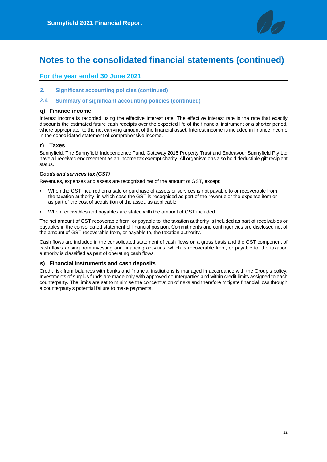

### **For the year ended 30 June 2021**

### **2. Significant accounting policies (continued)**

### **2.4 Summary of significant accounting policies (continued)**

### **q) Finance income**

Interest income is recorded using the effective interest rate. The effective interest rate is the rate that exactly discounts the estimated future cash receipts over the expected life of the financial instrument or a shorter period, where appropriate, to the net carrying amount of the financial asset. Interest income is included in finance income in the consolidated statement of comprehensive income.

### **r) Taxes**

Sunnyfield, The Sunnyfield Independence Fund, Gateway 2015 Property Trust and Endeavour Sunnyfield Pty Ltd have all received endorsement as an income tax exempt charity. All organisations also hold deductible gift recipient status.

### *Goods and services tax (GST)*

Revenues, expenses and assets are recognised net of the amount of GST, except:

- When the GST incurred on a sale or purchase of assets or services is not payable to or recoverable from the taxation authority, in which case the GST is recognised as part of the revenue or the expense item or as part of the cost of acquisition of the asset, as applicable
- When receivables and payables are stated with the amount of GST included

The net amount of GST recoverable from, or payable to, the taxation authority is included as part of receivables or payables in the consolidated statement of financial position. Commitments and contingencies are disclosed net of the amount of GST recoverable from, or payable to, the taxation authority.

Cash flows are included in the consolidated statement of cash flows on a gross basis and the GST component of cash flows arising from investing and financing activities, which is recoverable from, or payable to, the taxation authority is classified as part of operating cash flows.

### **s) Financial instruments and cash deposits**

Credit risk from balances with banks and financial institutions is managed in accordance with the Group's policy. Investments of surplus funds are made only with approved counterparties and within credit limits assigned to each counterparty. The limits are set to minimise the concentration of risks and therefore mitigate financial loss through a counterparty's potential failure to make payments.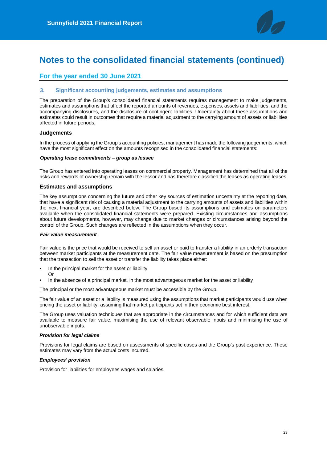

### **For the year ended 30 June 2021**

### **3. Significant accounting judgements, estimates and assumptions**

The preparation of the Group's consolidated financial statements requires management to make judgements, estimates and assumptions that affect the reported amounts of revenues, expenses, assets and liabilities, and the accompanying disclosures, and the disclosure of contingent liabilities. Uncertainty about these assumptions and estimates could result in outcomes that require a material adjustment to the carrying amount of assets or liabilities affected in future periods.

### **Judgements**

In the process of applying the Group's accounting policies, management has made the following judgements, which have the most significant effect on the amounts recognised in the consolidated financial statements:

### *Operating lease commitments – group as lessee*

The Group has entered into operating leases on commercial property. Management has determined that all of the risks and rewards of ownership remain with the lessor and has therefore classified the leases as operating leases.

### **Estimates and assumptions**

The key assumptions concerning the future and other key sources of estimation uncertainty at the reporting date, that have a significant risk of causing a material adjustment to the carrying amounts of assets and liabilities within the next financial year, are described below. The Group based its assumptions and estimates on parameters available when the consolidated financial statements were prepared. Existing circumstances and assumptions about future developments, however, may change due to market changes or circumstances arising beyond the control of the Group. Such changes are reflected in the assumptions when they occur.

### *Fair value measurement*

Fair value is the price that would be received to sell an asset or paid to transfer a liability in an orderly transaction between market participants at the measurement date. The fair value measurement is based on the presumption that the transaction to sell the asset or transfer the liability takes place either:

- In the principal market for the asset or liability Or
- In the absence of a principal market, in the most advantageous market for the asset or liability

The principal or the most advantageous market must be accessible by the Group.

The fair value of an asset or a liability is measured using the assumptions that market participants would use when pricing the asset or liability, assuming that market participants act in their economic best interest.

The Group uses valuation techniques that are appropriate in the circumstances and for which sufficient data are available to measure fair value, maximising the use of relevant observable inputs and minimising the use of unobservable inputs.

### *Provision for legal claims*

Provisions for legal claims are based on assessments of specific cases and the Group's past experience. These estimates may vary from the actual costs incurred.

### *Employees' provision*

Provision for liabilities for employees wages and salaries.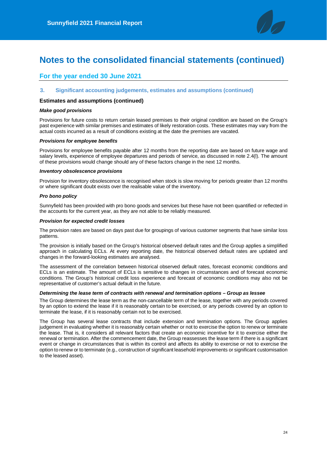

### **For the year ended 30 June 2021**

### **3. Significant accounting judgements, estimates and assumptions (continued)**

### **Estimates and assumptions (continued)**

#### *Make good provisions*

Provisions for future costs to return certain leased premises to their original condition are based on the Group's past experience with similar premises and estimates of likely restoration costs. These estimates may vary from the actual costs incurred as a result of conditions existing at the date the premises are vacated.

#### *Provisions for employee benefits*

Provisions for employee benefits payable after 12 months from the reporting date are based on future wage and salary levels, experience of employee departures and periods of service, as discussed in note 2.4(l). The amount of these provisions would change should any of these factors change in the next 12 months.

### *Inventory obsolescence provisions*

Provision for inventory obsolescence is recognised when stock is slow moving for periods greater than 12 months or where significant doubt exists over the realisable value of the inventory.

#### *Pro bono policy*

Sunnyfield has been provided with pro bono goods and services but these have not been quantified or reflected in the accounts for the current year, as they are not able to be reliably measured.

#### *Provision for expected credit losses*

The provision rates are based on days past due for groupings of various customer segments that have similar loss patterns.

The provision is initially based on the Group's historical observed default rates and the Group applies a simplified approach in calculating ECLs. At every reporting date, the historical observed default rates are updated and changes in the forward-looking estimates are analysed.

The assessment of the correlation between historical observed default rates, forecast economic conditions and ECLs is an estimate. The amount of ECLs is sensitive to changes in circumstances and of forecast economic conditions. The Group's historical credit loss experience and forecast of economic conditions may also not be representative of customer's actual default in the future.

### *Determining the lease term of contracts with renewal and termination options – Group as lessee*

The Group determines the lease term as the non-cancellable term of the lease, together with any periods covered by an option to extend the lease if it is reasonably certain to be exercised, or any periods covered by an option to terminate the lease, if it is reasonably certain not to be exercised.

The Group has several lease contracts that include extension and termination options. The Group applies judgement in evaluating whether it is reasonably certain whether or not to exercise the option to renew or terminate the lease. That is, it considers all relevant factors that create an economic incentive for it to exercise either the renewal or termination. After the commencement date, the Group reassesses the lease term if there is a significant event or change in circumstances that is within its control and affects its ability to exercise or not to exercise the option to renew or to terminate (e.g., construction of significant leasehold improvements or significant customisation to the leased asset).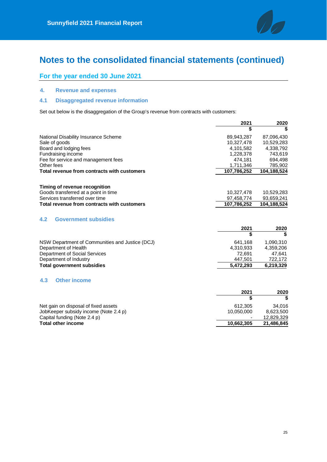

### **For the year ended 30 June 2021**

### **4. Revenue and expenses**

### **4.1 Disaggregated revenue information**

Set out below is the disaggregation of the Group's revenue from contracts with customers:

|                                             | 2021        | 2020        |
|---------------------------------------------|-------------|-------------|
|                                             |             | S           |
| National Disability Insurance Scheme        | 89,943,287  | 87,096,430  |
| Sale of goods                               | 10.327.478  | 10.529.283  |
| Board and lodging fees                      | 4.101.582   | 4,338,792   |
| Fundraising income                          | 1,228,378   | 743.619     |
| Fee for service and management fees         | 474.181     | 694.498     |
| Other fees                                  | 1,711,346   | 785,902     |
| Total revenue from contracts with customers | 107,786,252 | 104,188,524 |
| Timing of revenue recognition               |             |             |
| Goods transferred at a point in time        | 10.327.478  | 10,529,283  |
| Services transferred over time              | 97,458,774  | 93,659,241  |
| Total revenue from contracts with customers | 107.786.252 | 104.188.524 |

### **4.2 Government subsidies**

|                                                 | 2021      | 2020      |  |
|-------------------------------------------------|-----------|-----------|--|
|                                                 |           |           |  |
| NSW Department of Communities and Justice (DCJ) | 641.168   | 1.090.310 |  |
| Department of Health                            | 4,310,933 | 4.359.206 |  |
| Department of Social Services                   | 72.691    | 47.641    |  |
| Department of Industry                          | 447.501   | 722.172   |  |
| <b>Total government subsidies</b>               | 5,472,293 | 6,219,329 |  |

### **4.3 Other income**

|                                       | 2021       | 2020       |
|---------------------------------------|------------|------------|
|                                       |            |            |
| Net gain on disposal of fixed assets  | 612.305    | 34.016     |
| JobKeeper subsidy income (Note 2.4 p) | 10.050.000 | 8,623,500  |
| Capital funding (Note 2.4 p)          |            | 12.829.329 |
| <b>Total other income</b>             | 10.662.305 | 21.486.845 |
|                                       |            |            |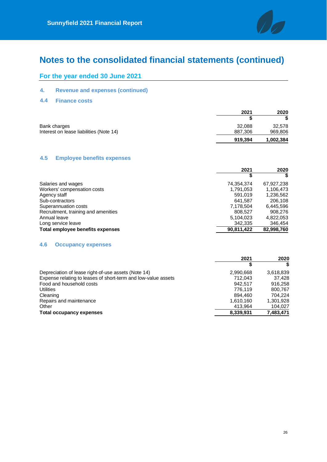

### **For the year ended 30 June 2021**

### **4. Revenue and expenses (continued)**

**4.4 Finance costs**

|                                         | 2021    | 2020      |
|-----------------------------------------|---------|-----------|
|                                         |         |           |
| Bank charges                            | 32,088  | 32.578    |
| Interest on lease liabilities (Note 14) | 887,306 | 969,806   |
|                                         | 919.394 | 1,002,384 |

### **4.5 Employee benefits expenses**

|                                     | 2021       | 2020       |
|-------------------------------------|------------|------------|
|                                     |            |            |
| Salaries and wages                  | 74,354,374 | 67,927,238 |
| Workers' compensation costs         | 1,791,053  | 1,106,473  |
| Agency staff                        | 591.019    | 1,236,562  |
| Sub-contractors                     | 641,587    | 206,108    |
| Superannuation costs                | 7,178,504  | 6.445.596  |
| Recruitment, training and amenities | 808.527    | 908.276    |
| Annual leave                        | 5,104,023  | 4,822,053  |
| Long service leave                  | 342,335    | 346,454    |
| Total employee benefits expenses    | 90,811,422 | 82,998,760 |

### **4.6 Occupancy expenses**

|                                                               | 2021      | 2020      |
|---------------------------------------------------------------|-----------|-----------|
|                                                               |           |           |
| Depreciation of lease right-of-use assets (Note 14)           | 2,990,668 | 3,618,839 |
| Expense relating to leases of short-term and low-value assets | 712.043   | 37.428    |
| Food and household costs                                      | 942.517   | 916.258   |
| <b>Utilities</b>                                              | 776.119   | 800,767   |
| Cleaning                                                      | 894.460   | 704,224   |
| Repairs and maintenance                                       | 1,610,160 | 1,301,928 |
| Other                                                         | 413,964   | 104,027   |
| Total occupancy expenses                                      | 8,339,931 | 7,483,471 |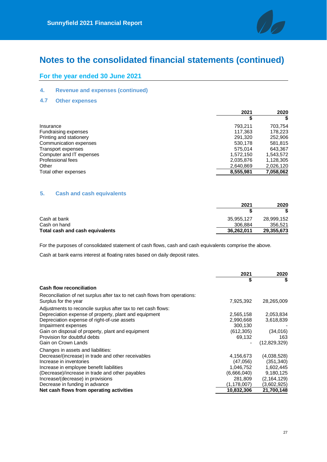

## **For the year ended 30 June 2021**

### **4. Revenue and expenses (continued)**

**4.7 Other expenses**

|                          | 2021      | 2020      |  |
|--------------------------|-----------|-----------|--|
|                          |           | S         |  |
| Insurance                | 793,211   | 703,754   |  |
| Fundraising expenses     | 117,363   | 178,223   |  |
| Printing and stationery  | 291,320   | 252,906   |  |
| Communication expenses   | 530,178   | 581,815   |  |
| Transport expenses       | 575.014   | 643,367   |  |
| Computer and IT expenses | 1.572.150 | 1,543,572 |  |
| Professional fees        | 2,035,876 | 1,128,305 |  |
| Other                    | 2,640,869 | 2,026,120 |  |
| Total other expenses     | 8,555,981 | 7,058,062 |  |

### **5. Cash and cash equivalents**

|                                 | 2021       | 2020       |
|---------------------------------|------------|------------|
|                                 |            |            |
| Cash at bank                    | 35,955,127 | 28,999,152 |
| Cash on hand                    | 306.884    | 356.521    |
| Total cash and cash equivalents | 36.262.011 | 29,355,673 |

For the purposes of consolidated statement of cash flows, cash and cash equivalents comprise the above.

Cash at bank earns interest at floating rates based on daily deposit rates.

|                                                                                                    | 2021          | 2020          |
|----------------------------------------------------------------------------------------------------|---------------|---------------|
|                                                                                                    | \$            | S             |
| <b>Cash flow reconciliation</b>                                                                    |               |               |
| Reconciliation of net surplus after tax to net cash flows from operations:<br>Surplus for the year | 7,925,392     | 28,265,009    |
|                                                                                                    |               |               |
| Adjustments to reconcile surplus after tax to net cash flows:                                      |               |               |
| Depreciation expense of property, plant and equipment                                              | 2,565,158     | 2,053,834     |
| Depreciation expense of right-of-use assets                                                        | 2,990,668     | 3,618,839     |
| Impairment expenses                                                                                | 300,130       |               |
| Gain on disposal of property, plant and equipment                                                  | (612,305)     | (34,016)      |
| Provision for doubtful debts                                                                       | 69,132        | 163           |
| Gain on Crown Lands                                                                                |               | (12,829,329)  |
| Changes in assets and liabilities:                                                                 |               |               |
| Decrease/(increase) in trade and other receivables                                                 | 4,156,673     | (4,038,528)   |
| Increase in inventories                                                                            | (47,056)      | (351, 340)    |
| Increase in employee benefit liabilities                                                           | 1,046,752     | 1,602,445     |
| (Decrease)/increase in trade and other payables                                                    | (6,666,040)   | 9,180,125     |
| Increase/(decrease) in provisions                                                                  | 281,809       | (2, 164, 129) |
| Decrease in funding in advance                                                                     | (1, 178, 007) | (3,602,925)   |
| Net cash flows from operating activities                                                           | 10,832,306    | 21,700,148    |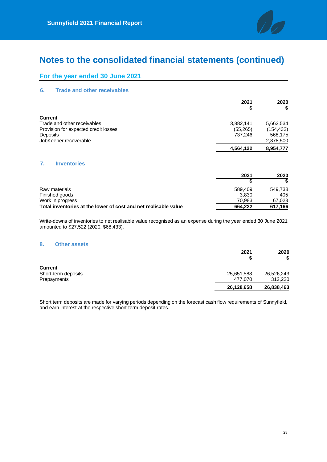

## **For the year ended 30 June 2021**

### **6. Trade and other receivables**

|                                      | 2021      | 2020       |
|--------------------------------------|-----------|------------|
| <b>Current</b>                       |           |            |
| Trade and other receivables          | 3,882,141 | 5,662,534  |
| Provision for expected credit losses | (55, 265) | (154, 432) |
| Deposits                             | 737.246   | 568,175    |
| JobKeeper recoverable                |           | 2,878,500  |
|                                      | 4,564,122 | 8,954,777  |

### **7. Inventories**

|                                                                 | 2021    | 2020    |  |
|-----------------------------------------------------------------|---------|---------|--|
|                                                                 |         |         |  |
| Raw materials                                                   | 589.409 | 549.738 |  |
| Finished goods                                                  | 3.830   | 405     |  |
| Work in progress                                                | 70.983  | 67.023  |  |
| Total inventories at the lower of cost and net realisable value | 664.222 | 617.166 |  |

Write-downs of inventories to net realisable value recognised as an expense during the year ended 30 June 2021 amounted to \$27,522 (2020: \$68,433).

### **8. Other assets**

|                     | 2021       | 2020       |
|---------------------|------------|------------|
|                     |            |            |
| <b>Current</b>      |            |            |
| Short-term deposits | 25,651,588 | 26,526,243 |
| Prepayments         | 477.070    | 312,220    |
|                     | 26,128,658 | 26,838,463 |

Short term deposits are made for varying periods depending on the forecast cash flow requirements of Sunnyfield, and earn interest at the respective short-term deposit rates.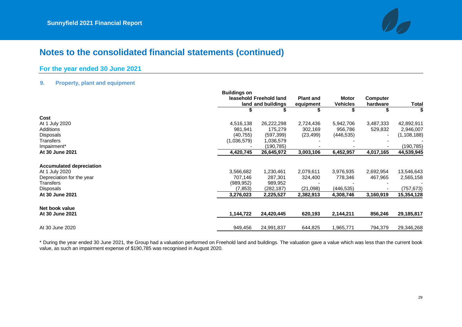

### **For the year ended 30 June 2021**

### **9. Property, plant and equipment**

|                                 | <b>Buildings on</b>     |                    |           |                  |              |             |  |
|---------------------------------|-------------------------|--------------------|-----------|------------------|--------------|-------------|--|
|                                 | leasehold Freehold land |                    |           | <b>Plant and</b> | <b>Motor</b> | Computer    |  |
|                                 |                         | land and buildings | equipment | <b>Vehicles</b>  | hardware     | Total       |  |
|                                 |                         |                    |           |                  | ъ            |             |  |
| Cost                            |                         |                    |           |                  |              |             |  |
| At 1 July 2020                  | 4,516,138               | 26,222,298         | 2,724,436 | 5,942,706        | 3,487,333    | 42,892,911  |  |
| Additions                       | 981,941                 | 175,279            | 302,169   | 956,786          | 529,832      | 2,946,007   |  |
| <b>Disposals</b>                | (40, 755)               | (597, 399)         | (23, 499) | (446, 535)       |              | (1,108,188) |  |
| Transfers                       | (1,036,579)             | 1,036,579          |           |                  |              |             |  |
| Impairment*                     |                         | (190,785)          |           |                  |              | (190, 785)  |  |
| At 30 June 2021                 | 4,420,745               | 26,645,972         | 3,003,106 | 6,452,957        | 4,017,165    | 44,539,945  |  |
| <b>Accumulated depreciation</b> |                         |                    |           |                  |              |             |  |
| At 1 July 2020                  | 3,566,682               | 1,230,461          | 2,079,611 | 3,976,935        | 2,692,954    | 13,546,643  |  |
| Depreciation for the year       | 707,146                 | 287,301            | 324,400   | 778,346          | 467,965      | 2,565,158   |  |
| Transfers                       | (989, 952)              | 989,952            |           |                  |              |             |  |
| <b>Disposals</b>                | (7, 853)                | (282, 187)         | (21,098)  | (446,535)        |              | (757, 673)  |  |
| At 30 June 2021                 | 3,276,023               | 2,225,527          | 2,382,913 | 4,308,746        | 3,160,919    | 15,354,128  |  |
| Net book value                  |                         |                    |           |                  |              |             |  |
| At 30 June 2021                 | 1,144,722               | 24,420,445         | 620,193   | 2,144,211        | 856,246      | 29,185,817  |  |
| At 30 June 2020                 | 949,456                 | 24,991,837         | 644,825   | 1,965,771        | 794,379      | 29,346,268  |  |

\* During the year ended 30 June 2021, the Group had a valuation performed on Freehold land and buildings. The valuation gave a value which was less than the current book value, as such an impairment expense of \$190,785 was recognised in August 2020.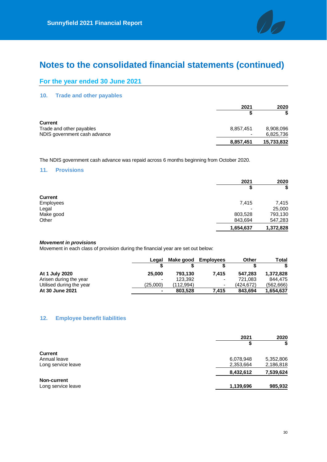

### **For the year ended 30 June 2021**

### **10. Trade and other payables**

|                              | 2021           | 2020       |
|------------------------------|----------------|------------|
|                              |                | S.         |
| <b>Current</b>               |                |            |
| Trade and other payables     | 8,857,451      | 8,908,096  |
| NDIS government cash advance | $\blacksquare$ | 6,825,736  |
|                              | 8,857,451      | 15,733,832 |

The NDIS government cash advance was repaid across 6 months beginning from October 2020.

### **11. Provisions**

|                | 2021      | 2020      |
|----------------|-----------|-----------|
|                | ₽         | \$        |
| <b>Current</b> |           |           |
| Employees      | 7,415     | 7,415     |
| Legal          | -         | 25,000    |
| Make good      | 803,528   | 793,130   |
| Other          | 843,694   | 547,283   |
|                | 1,654,637 | 1,372,828 |

### *Movement in provisions*

Movement in each class of provision during the financial year are set out below:

|                          | Legal                    | Make good | Employees                | Other     | Total     |
|--------------------------|--------------------------|-----------|--------------------------|-----------|-----------|
|                          |                          |           |                          |           |           |
| At 1 July 2020           | 25,000                   | 793.130   | 7.415                    | 547.283   | 1.372.828 |
| Arisen during the year   | $\overline{\phantom{0}}$ | 123.392   | -                        | 721.083   | 844.475   |
| Utilised during the year | (25,000)                 | (112.994) | $\overline{\phantom{0}}$ | (424.672) | (562,666) |
| At 30 June 2021          | -                        | 803.528   | 7.415                    | 843.694   | 1,654,637 |

### **12. Employee benefit liabilities**

|                    | 2021      | 2020      |
|--------------------|-----------|-----------|
|                    |           | \$        |
| <b>Current</b>     |           |           |
| Annual leave       | 6,078,948 | 5,352,806 |
| Long service leave | 2,353,664 | 2,186,818 |
|                    | 8,432,612 | 7,539,624 |
| <b>Non-current</b> |           |           |
| Long service leave | 1,139,696 | 985,932   |
|                    |           |           |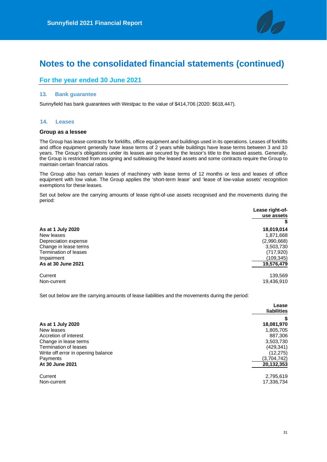

### **For the year ended 30 June 2021**

### **13. Bank guarantee**

Sunnyfield has bank guarantees with Westpac to the value of \$414,706 (2020: \$618,447).

### **14. Leases**

### **Group as a lessee**

The Group has lease contracts for forklifts, office equipment and buildings used in its operations. Leases of forklifts and office equipment generally have lease terms of 2 years while buildings have lease terms between 3 and 10 years. The Group's obligations under its leases are secured by the lessor's title to the leased assets. Generally, the Group is restricted from assigning and subleasing the leased assets and some contracts require the Group to maintain certain financial ratios.

The Group also has certain leases of machinery with lease terms of 12 months or less and leases of office equipment with low value. The Group applies the 'short-term lease' and 'lease of low-value assets' recognition exemptions for these leases.

Set out below are the carrying amounts of lease right-of-use assets recognised and the movements during the period:

|                       | Lease right-of- |
|-----------------------|-----------------|
|                       | use assets      |
|                       |                 |
| As at 1 July 2020     | 18,019,014      |
| New leases            | 1,871,668       |
| Depreciation expense  | (2,990,668)     |
| Change in lease terms | 3,503,730       |
| Termination of leases | (717,920)       |
| Impairment            | (109,345)       |
| As at 30 June 2021    | 19,576,479      |
| Current               | 139,569         |
| Non-current           | 19,436,910      |

Set out below are the carrying amounts of lease liabilities and the movements during the period:

|                                    | Lease<br><b>liabilities</b> |
|------------------------------------|-----------------------------|
|                                    |                             |
| As at 1 July 2020                  | 18,081,970                  |
| New leases                         | 1,805,705                   |
| Accretion of interest              | 887,306                     |
| Change in lease terms              | 3,503,730                   |
| Termination of leases              | (429,341)                   |
| Write off error in opening balance | (12, 275)                   |
| Payments                           | (3,704,742)                 |
| At 30 June 2021                    | 20,132,353                  |
| Current                            | 2,795,619                   |
| Non-current                        | 17,336,734                  |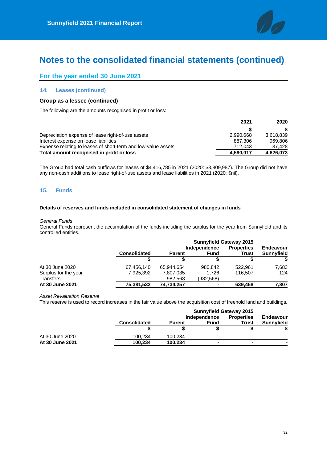

### **For the year ended 30 June 2021**

### **14. Leases (continued)**

### **Group as a lessee (continued)**

The following are the amounts recognised in profit or loss:

|                                                               | 2021      | 2020      |
|---------------------------------------------------------------|-----------|-----------|
|                                                               |           |           |
| Depreciation expense of lease right-of-use assets             | 2.990.668 | 3.618.839 |
| Interest expense on lease liabilities                         | 887.306   | 969.806   |
| Expense relating to leases of short-term and low-value assets | 712.043   | 37.428    |
| Total amount recognised in profit or loss                     | 4.590.017 | 4,626,073 |

The Group had total cash outflows for leases of \$4,416,785 in 2021 (2020: \$3,809,987). The Group did not have any non-cash additions to lease right-of-use assets and lease liabilities in 2021 (2020: \$nil).

### **15. Funds**

### **Details of reserves and funds included in consolidated statement of changes in funds**

### *General Funds*

General Funds represent the accumulation of the funds including the surplus for the year from Sunnyfield and its controlled entities.

|                      |                     | <b>Sunnyfield Gateway 2015</b> |             |                   |                          |
|----------------------|---------------------|--------------------------------|-------------|-------------------|--------------------------|
|                      |                     | Independence                   |             | <b>Properties</b> | <b>Endeavour</b>         |
|                      | <b>Consolidated</b> | <b>Parent</b>                  | <b>Fund</b> | <b>Trust</b>      | Sunnyfield               |
|                      |                     |                                |             |                   | S                        |
| At 30 June 2020      | 67.456.140          | 65.944.654                     | 980.842     | 522.961           | 7,683                    |
| Surplus for the year | 7,925,392           | 7,807,035                      | 1.726       | 116.507           | 124                      |
| <b>Transfers</b>     |                     | 982.568                        | (982, 568)  |                   | $\overline{\phantom{a}}$ |
| At 30 June 2021      | 75,381,532          | 74,734,257                     |             | 639.468           | 7,807                    |

#### *Asset Revaluation Reserve*

This reserve is used to record increases in the fair value above the acquisition cost of freehold land and buildings.

|                 |                     |               |                          | <b>Sunnyfield Gateway 2015</b> |                          |
|-----------------|---------------------|---------------|--------------------------|--------------------------------|--------------------------|
|                 |                     |               | Independence             | <b>Properties</b>              | <b>Endeavour</b>         |
|                 | <b>Consolidated</b> | <b>Parent</b> | Fund                     | <b>Trust</b>                   | <b>Sunnvfield</b>        |
|                 |                     |               |                          |                                |                          |
| At 30 June 2020 | 100.234             | 100.234       | $\overline{\phantom{0}}$ | $\blacksquare$                 | $\overline{\phantom{0}}$ |
| At 30 June 2021 | 100.234             | 100.234       |                          | $\blacksquare$                 |                          |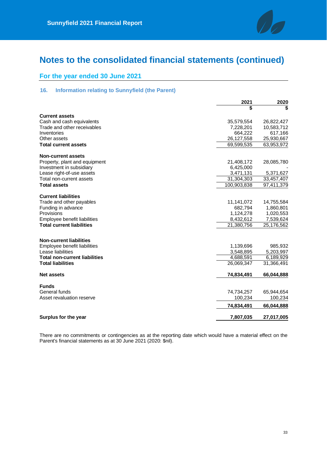

## **For the year ended 30 June 2021**

### **16. Information relating to Sunnyfield (the Parent)**

|                                      | 2021        | 2020       |
|--------------------------------------|-------------|------------|
|                                      | \$          |            |
| <b>Current assets</b>                |             |            |
| Cash and cash equivalents            | 35,579,554  | 26,822,427 |
| Trade and other receivables          | 7,228,201   | 10,583,712 |
| Inventories                          | 664,222     | 617,166    |
| Other assets                         | 26,127,558  | 25,930,667 |
| <b>Total current assets</b>          | 69,599,535  | 63,953,972 |
| <b>Non-current assets</b>            |             |            |
| Property, plant and equipment        | 21,408,172  | 28,085,780 |
| Investment in subsidiary             | 6,425,000   |            |
| Lease right-of-use assets            | 3,471,131   | 5,371,627  |
| Total non-current assets             | 31,304,303  | 33,457,407 |
| <b>Total assets</b>                  | 100,903,838 | 97,411,379 |
| <b>Current liabilities</b>           |             |            |
| Trade and other payables             | 11,141,072  | 14,755,584 |
| Funding in advance                   | 682,794     | 1,860,801  |
| Provisions                           | 1,124,278   | 1,020,553  |
| Employee benefit liabilities         | 8,432,612   | 7,539,624  |
| <b>Total current liabilities</b>     | 21,380,756  | 25,176,562 |
| <b>Non-current liabilities</b>       |             |            |
| Employee benefit liabilities         | 1,139,696   | 985,932    |
| Lease liabilities                    | 3,548,895   | 5,203,997  |
| <b>Total non-current liabilities</b> | 4,688,591   | 6,189,929  |
| <b>Total liabilities</b>             | 26,069,347  | 31,366,491 |
| <b>Net assets</b>                    | 74,834,491  | 66,044,888 |
| <b>Funds</b>                         |             |            |
| General funds                        | 74,734,257  | 65,944,654 |
| Asset revaluation reserve            | 100,234     | 100,234    |
|                                      | 74,834,491  | 66,044,888 |
| Surplus for the year                 | 7,807,035   | 27,017,005 |

There are no commitments or contingencies as at the reporting date which would have a material effect on the Parent's financial statements as at 30 June 2021 (2020: \$nil).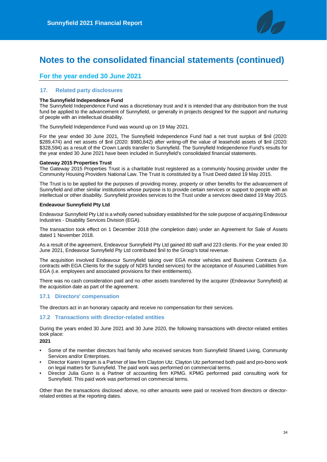

### **For the year ended 30 June 2021**

### **17. Related party disclosures**

#### **The Sunnyfield Independence Fund**

The Sunnyfield Independence Fund was a discretionary trust and it is intended that any distribution from the trust fund be applied to the advancement of Sunnyfield, or generally in projects designed for the support and nurturing of people with an intellectual disability.

The Sunnyfield Independence Fund was wound up on 19 May 2021.

For the year ended 30 June 2021, The Sunnyfield Independence Fund had a net trust surplus of \$nil (2020: \$289,474) and net assets of \$nil (2020: \$980,842) after writing-off the value of leasehold assets of \$nil (2020: \$328,594) as a result of the Crown Lands transfer to Sunnyfield. The Sunnyfield Independence Fund's results for the year ended 30 June 2021 have been included in Sunnyfield's consolidated financial statements.

#### **Gateway 2015 Properties Trust**

The Gateway 2015 Properties Trust is a charitable trust registered as a community housing provider under the Community Housing Providers National Law. The Trust is constituted by a Trust Deed dated 19 May 2015.

The Trust is to be applied for the purposes of providing money, property or other benefits for the advancement of Sunnyfield and other similar institutions whose purpose is to provide certain services or support to people with an intellectual or other disability. Sunnyfield provides services to the Trust under a services deed dated 19 May 2015.

#### **Endeavour Sunnyfield Pty Ltd**

Endeavour Sunnyfield Pty Ltd is a wholly owned subsidiary established for the sole purpose of acquiring Endeavour Industries - Disability Services Division (EGA).

The transaction took effect on 1 December 2018 (the completion date) under an Agreement for Sale of Assets dated 1 November 2018.

As a result of the agreement, Endeavour Sunnyfield Pty Ltd gained 80 staff and 223 clients. For the year ended 30 June 2021, Endeavour Sunnyfield Pty Ltd contributed \$nil to the Group's total revenue.

The acquisition involved Endeavour Sunnyfield taking over EGA motor vehicles and Business Contracts (i.e. contracts with EGA Clients for the supply of NDIS funded services) for the acceptance of Assumed Liabilities from EGA (i.e. employees and associated provisions for their entitlements).

There was no cash consideration paid and no other assets transferred by the acquirer (Endeavour Sunnyfield) at the acquisition date as part of the agreement.

### **17.1 Directors' compensation**

The directors act in an honorary capacity and receive no compensation for their services.

### **17.2 Transactions with director-related entities**

During the years ended 30 June 2021 and 30 June 2020, the following transactions with director-related entities took place:

### **2021**

- Some of the member directors had family who received services from Sunnyfield Shared Living, Community Services and/or Enterprises.
- Director Karen Ingram is a Partner of law firm Clayton Utz. Clayton Utz performed both paid and pro-bono work on legal matters for Sunnyfield. The paid work was performed on commercial terms.
- Director Julia Gunn is a Partner of accounting firm KPMG. KPMG performed paid consulting work for Sunnyfield. This paid work was performed on commercial terms.

Other than the transactions disclosed above, no other amounts were paid or received from directors or directorrelated entities at the reporting dates.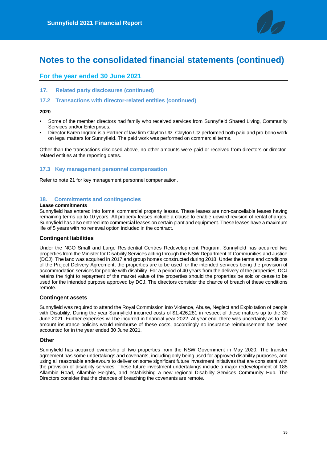

### **For the year ended 30 June 2021**

### **17. Related party disclosures (continued)**

### **17.2 Transactions with director-related entities (continued)**

### **2020**

- Some of the member directors had family who received services from Sunnyfield Shared Living, Community Services and/or Enterprises.
- Director Karen Ingram is a Partner of law firm Clayton Utz. Clayton Utz performed both paid and pro-bono work on legal matters for Sunnyfield. The paid work was performed on commercial terms.

Other than the transactions disclosed above, no other amounts were paid or received from directors or directorrelated entities at the reporting dates.

### **17.3 Key management personnel compensation**

Refer to note 21 for key management personnel compensation.

### **18. Commitments and contingencies**

#### **Lease commitments**

Sunnyfield has entered into formal commercial property leases. These leases are non-cancellable leases having remaining terms up to 10 years. All property leases include a clause to enable upward revision of rental charges. Sunnyfield has also entered into commercial leases on certain plant and equipment. These leases have a maximum life of 5 years with no renewal option included in the contract.

### **Contingent liabilities**

Under the NGO Small and Large Residential Centres Redevelopment Program, Sunnyfield has acquired two properties from the Minister for Disability Services acting through the NSW Department of Communities and Justice (DCJ). The land was acquired in 2017 and group homes constructed during 2018. Under the terms and conditions of the Project Delivery Agreement, the properties are to be used for the intended services being the provision of accommodation services for people with disability. For a period of 40 years from the delivery of the properties, DCJ retains the right to repayment of the market value of the properties should the properties be sold or cease to be used for the intended purpose approved by DCJ. The directors consider the chance of breach of these conditions remote.

### **Contingent assets**

Sunnyfield was required to attend the Royal Commission into Violence, Abuse, Neglect and Exploitation of people with Disability. During the year Sunnyfield incurred costs of \$1,426,281 in respect of these matters up to the 30 June 2021. Further expenses will be incurred in financial year 2022. At year end, there was uncertainty as to the amount insurance policies would reimburse of these costs, accordingly no insurance reimbursement has been accounted for in the year ended 30 June 2021.

### **Other**

Sunnyfield has acquired ownership of two properties from the NSW Government in May 2020. The transfer agreement has some undertakings and covenants, including only being used for approved disability purposes, and using all reasonable endeavours to deliver on some significant future investment initiatives that are consistent with the provision of disability services. These future investment undertakings include a major redevelopment of 185 Allambie Road, Allambie Heights, and establishing a new regional Disability Services Community Hub. The Directors consider that the chances of breaching the covenants are remote.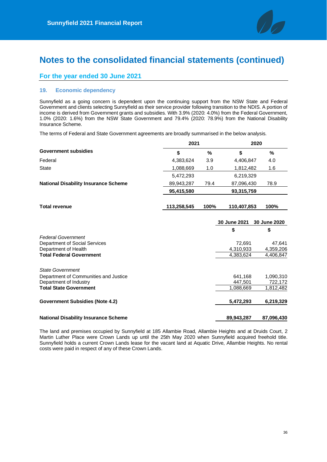

### **For the year ended 30 June 2021**

### **19. Economic dependency**

Sunnyfield as a going concern is dependent upon the continuing support from the NSW State and Federal Government and clients selecting Sunnyfield as their service provider following transition to the NDIS. A portion of income is derived from Government grants and subsidies. With 3.9% (2020: 4.0%) from the Federal Government, 1.0% (2020: 1.6%) from the NSW State Government and 79.4% (2020: 78.9%) from the National Disability Insurance Scheme.

The terms of Federal and State Government agreements are broadly summarised in the below analysis.

|                                                       | 2021        |               | 2020                |                     |
|-------------------------------------------------------|-------------|---------------|---------------------|---------------------|
| <b>Government subsidies</b>                           | \$          | $\frac{9}{6}$ | \$                  | $\frac{9}{6}$       |
| Federal                                               | 4,383,624   | 3.9           | 4,406,847           | 4.0                 |
| <b>State</b>                                          | 1,088,669   | 1.0           | 1,812,482           | 1.6                 |
|                                                       | 5,472,293   |               | 6,219,329           |                     |
| <b>National Disability Insurance Scheme</b>           | 89,943,287  | 79.4          | 87,096,430          | 78.9                |
|                                                       | 95,415,580  |               | 93,315,759          |                     |
| <b>Total revenue</b>                                  | 113,258,545 | 100%          | 110,407,853         | 100%                |
|                                                       |             |               | 30 June 2021        | 30 June 2020        |
|                                                       |             |               | \$                  | \$                  |
| <b>Federal Government</b>                             |             |               |                     |                     |
| Department of Social Services<br>Department of Health |             |               | 72,691<br>4,310,933 | 47,641<br>4,359,206 |
| <b>Total Federal Government</b>                       |             |               | 4,383,624           | 4.406.847           |
| <b>State Government</b>                               |             |               |                     |                     |
| Department of Communities and Justice                 |             |               | 641.168             | 1,090,310           |
| Department of Industry                                |             |               | 447.501             | 722,172             |
| <b>Total State Government</b>                         |             |               | 1,088,669           | 1,812,482           |
| <b>Government Subsidies (Note 4.2)</b>                |             |               | 5,472,293           | 6,219,329           |
| <b>National Disability Insurance Scheme</b>           |             |               | 89,943,287          | 87.096,430          |

The land and premises occupied by Sunnyfield at 185 Allambie Road, Allambie Heights and at Druids Court, 2 Martin Luther Place were Crown Lands up until the 25th May 2020 when Sunnyfield acquired freehold title. Sunnyfield holds a current Crown Lands lease for the vacant land at Aquatic Drive, Allambie Heights. No rental costs were paid in respect of any of these Crown Lands.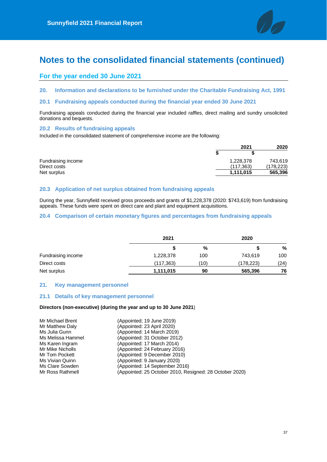

### **For the year ended 30 June 2021**

**20. Information and declarations to be furnished under the Charitable Fundraising Act, 1991**

### **20.1 Fundraising appeals conducted during the financial year ended 30 June 2021**

Fundraising appeals conducted during the financial year included raffles, direct mailing and sundry unsolicited donations and bequests.

### **20.2 Results of fundraising appeals**

Included in the consolidated statement of comprehensive income are the following:

|                    | 2021      | 2020      |
|--------------------|-----------|-----------|
|                    |           |           |
| Fundraising income | 1,228,378 | 743,619   |
| Direct costs       | (117,363) | (178,223) |
| Net surplus        | 1,111,015 | 565,396   |

### **20.3 Application of net surplus obtained from fundraising appeals**

During the year, Sunnyfield received gross proceeds and grants of \$1,228,378 (2020: \$743,619) from fundraising appeals. These funds were spent on direct care and plant and equipment acquisitions.

### **20.4 Comparison of certain monetary figures and percentages from fundraising appeals**

|                    | 2021      |      |            |      |
|--------------------|-----------|------|------------|------|
|                    |           | %    |            | %    |
| Fundraising income | 1,228,378 | 100  | 743.619    | 100  |
| Direct costs       | (117,363) | (10) | (178, 223) | (24) |
| Net surplus        | 1,111,015 | 90   | 565,396    | 76   |

### **21. Key management personnel**

### **21.1 Details of key management personnel**

### **Directors (non-executive) (during the year and up to 30 June 2021**)

| Mr Michael Brent  | (Appointed: 19 June 2019)                               |
|-------------------|---------------------------------------------------------|
| Mr Matthew Daly   | (Appointed: 23 April 2020)                              |
| Ms Julia Gunn     | (Appointed: 14 March 2019)                              |
| Ms Melissa Hammel | (Appointed: 31 October 2012)                            |
| Ms Karen Ingram   | (Appointed: 17 March 2014)                              |
| Mr Mike Nicholls  | (Appointed: 24 February 2016)                           |
| Mr Tom Pockett    | (Appointed: 9 December 2010)                            |
| Ms Vivian Quinn   | (Appointed: 9 January 2020)                             |
| Ms Clare Sowden   | (Appointed: 14 September 2016)                          |
| Mr Ross Rathmell  | (Appointed: 25 October 2010, Resigned: 28 October 2020) |
|                   |                                                         |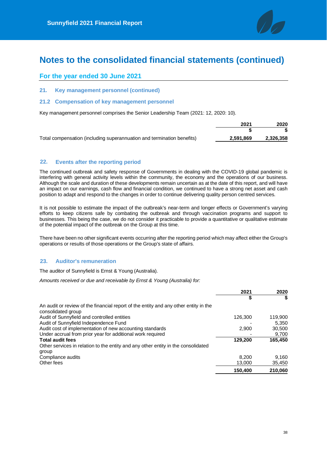

### **For the year ended 30 June 2021**

### **21. Key management personnel (continued)**

### **21.2 Compensation of key management personnel**

Key management personnel comprises the Senior Leadership Team (2021: 12, 2020: 10).

|                                                                        | 2021      | 2020      |
|------------------------------------------------------------------------|-----------|-----------|
|                                                                        |           |           |
| Total compensation (including superannuation and termination benefits) | 2,591,869 | 2,326,358 |

### **22. Events after the reporting period**

The continued outbreak and safety response of Governments in dealing with the COVID-19 global pandemic is interfering with general activity levels within the community, the economy and the operations of our business. Although the scale and duration of these developments remain uncertain as at the date of this report, and will have an impact on our earnings, cash flow and financial condition, we continued to have a strong net asset and cash position to adapt and respond to the changes in order to continue delivering quality person centred services.

It is not possible to estimate the impact of the outbreak's near-term and longer effects or Government's varying efforts to keep citizens safe by combating the outbreak and through vaccination programs and support to businesses. This being the case, we do not consider it practicable to provide a quantitative or qualitative estimate of the potential impact of the outbreak on the Group at this time.

There have been no other significant events occurring after the reporting period which may affect either the Group's operations or results of those operations or the Group's state of affairs.

### **23. Auditor's remuneration**

The auditor of Sunnyfield is Ernst & Young (Australia).

*Amounts received or due and receivable by Ernst & Young (Australia) for:*

|                                                                                      | 2021<br>S | 2020<br>\$ |
|--------------------------------------------------------------------------------------|-----------|------------|
|                                                                                      |           |            |
| An audit or review of the financial report of the entity and any other entity in the |           |            |
| consolidated group                                                                   |           |            |
| Audit of Sunnyfield and controlled entities                                          | 126,300   | 119,900    |
| Audit of Sunnyfield Independence Fund                                                |           | 5.350      |
| Audit cost of implementation of new accounting standards                             | 2.900     | 30,500     |
| Under accrual from prior year for additional work required                           |           | 9,700      |
| <b>Total audit fees</b>                                                              | 129,200   | 165,450    |
| Other services in relation to the entity and any other entity in the consolidated    |           |            |
| group                                                                                |           |            |
| Compliance audits                                                                    | 8.200     | 9,160      |
| Other fees                                                                           | 13.000    | 35,450     |
|                                                                                      | 150.400   | 210,060    |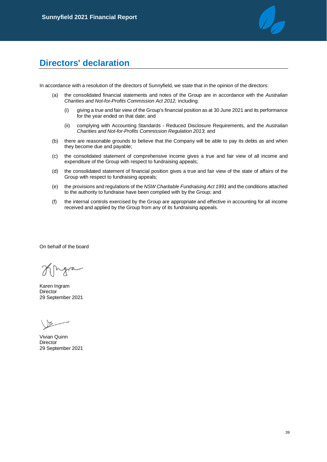

## **Directors' declaration**

In accordance with a resolution of the directors of Sunnyfield, we state that in the opinion of the directors:

- (a) the consolidated financial statements and notes of the Group are in accordance with the *Australian Charities and Not-for-Profits Commission Act 2012,* including:
	- (i) giving a true and fair view of the Group's financial position as at 30 June 2021 and its performance for the year ended on that date; and
	- (ii) complying with Accounting Standards Reduced Disclosure Requirements, and the *Australian Charities and Not-for-Profits Commission Regulation 2013*; and
- (b) there are reasonable grounds to believe that the Company will be able to pay its debts as and when they become due and payable;
- (c) the consolidated statement of comprehensive income gives a true and fair view of all income and expenditure of the Group with respect to fundraising appeals;
- (d) the consolidated statement of financial position gives a true and fair view of the state of affairs of the Group with respect to fundraising appeals;
- (e) the provisions and regulations of the *NSW Charitable Fundraising Act 1991* and the conditions attached to the authority to fundraise have been complied with by the Group; and
- (f) the internal controls exercised by the Group are appropriate and effective in accounting for all income received and applied by the Group from any of its fundraising appeals.

On behalf of the board

Karen Ingram **Director** 29 September 2021

Vivian Quinn Director 29 September 2021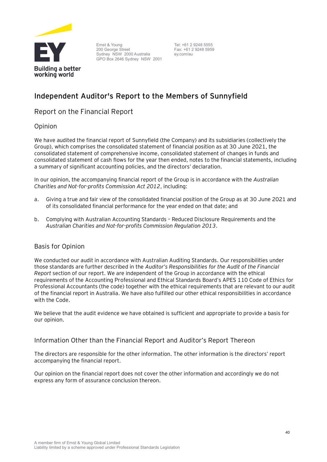

Ernst & Young 200 George Street Sydney NSW 2000 Australia GPO Box 2646 Sydney NSW 2001 Tel: +61 2 9248 5555 Fax: +61 2 9248 5959 ey.com/au

## **Independent Auditor's Report to the Members of Sunnyfield**

## Report on the Financial Report

Opinion

We have audited the financial report of Sunnyfield (the Company) and its subsidiaries (collectively the Group), which comprises the consolidated statement of financial position as at 30 June 2021, the consolidated statement of comprehensive income, consolidated statement of changes in funds and consolidated statement of cash flows for the year then ended, notes to the financial statements, including a summary of significant accounting policies, and the directors' declaration.

In our opinion, the accompanying financial report of the Group is in accordance with the *Australian Charities and Not-for-profits Commission Act 2012*, including:

- a. Giving a true and fair view of the consolidated financial position of the Group as at 30 June 2021 and of its consolidated financial performance for the year ended on that date; and
- b. Complying with Australian Accounting Standards Reduced Disclosure Requirements and the *Australian Charities and Not-for-profits Commission Regulation 2013*.

### Basis for Opinion

We conducted our audit in accordance with Australian Auditing Standards. Our responsibilities under those standards are further described in the *Auditor's Responsibilities for the Audit of the Financial Report* section of our report. We are independent of the Group in accordance with the ethical requirements of the Accounting Professional and Ethical Standards Board's APES 110 Code of Ethics for Professional Accountants (the code) together with the ethical requirements that are relevant to our audit of the financial report in Australia. We have also fulfilled our other ethical responsibilities in accordance with the Code.

We believe that the audit evidence we have obtained is sufficient and appropriate to provide a basis for our opinion.

### Information Other than the Financial Report and Auditor's Report Thereon

The directors are responsible for the other information. The other information is the directors' report accompanying the financial report.

Our opinion on the financial report does not cover the other information and accordingly we do not express any form of assurance conclusion thereon.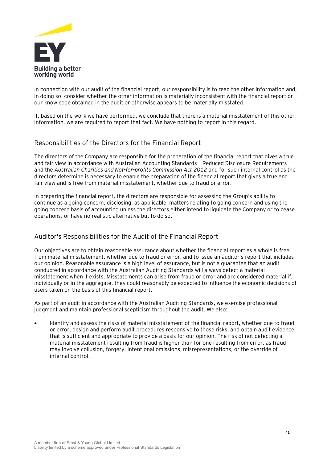

In connection with our audit of the financial report, our responsibility is to read the other information and, in doing so, consider whether the other information is materially inconsistent with the financial report or our knowledge obtained in the audit or otherwise appears to be materially misstated.

If, based on the work we have performed, we conclude that there is a material misstatement of this other information, we are required to report that fact. We have nothing to report in this regard.

### Responsibilities of the Directors for the Financial Report

The directors of the Company are responsible for the preparation of the financial report that gives a true and fair view in accordance with Australian Accounting Standards – Reduced Disclosure Requirements and the *Australian Charities and Not-for-profits Commission Act 2012* and for such internal control as the directors determine is necessary to enable the preparation of the financial report that gives a true and fair view and is free from material misstatement, whether due to fraud or error.

In preparing the financial report, the directors are responsible for assessing the Group's ability to continue as a going concern, disclosing, as applicable, matters relating to going concern and using the going concern basis of accounting unless the directors either intend to liquidate the Company or to cease operations, or have no realistic alternative but to do so.

### Auditor's Responsibilities for the Audit of the Financial Report

Our objectives are to obtain reasonable assurance about whether the financial report as a whole is free from material misstatement, whether due to fraud or error, and to issue an auditor's report that includes our opinion. Reasonable assurance is a high level of assurance, but is not a guarantee that an audit conducted in accordance with the Australian Auditing Standards will always detect a material misstatement when it exists. Misstatements can arise from fraud or error and are considered material if, individually or in the aggregate, they could reasonably be expected to influence the economic decisions of users taken on the basis of this financial report.

As part of an audit in accordance with the Australian Auditing Standards, we exercise professional judgment and maintain professional scepticism throughout the audit. We also:

• Identify and assess the risks of material misstatement of the financial report, whether due to fraud or error, design and perform audit procedures responsive to those risks, and obtain audit evidence that is sufficient and appropriate to provide a basis for our opinion. The risk of not detecting a material misstatement resulting from fraud is higher than for one resulting from error, as fraud may involve collusion, forgery, intentional omissions, misrepresentations, or the override of internal control.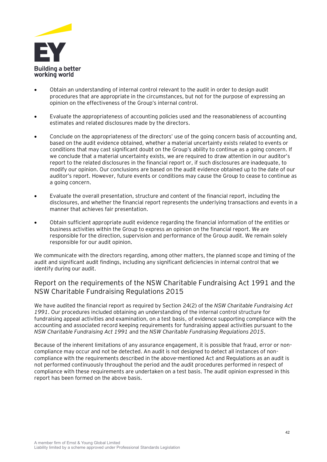

- Obtain an understanding of internal control relevant to the audit in order to design audit procedures that are appropriate in the circumstances, but not for the purpose of expressing an opinion on the effectiveness of the Group's internal control.
- Evaluate the appropriateness of accounting policies used and the reasonableness of accounting estimates and related disclosures made by the directors.
- Conclude on the appropriateness of the directors' use of the going concern basis of accounting and, based on the audit evidence obtained, whether a material uncertainty exists related to events or conditions that may cast significant doubt on the Group's ability to continue as a going concern. If we conclude that a material uncertainty exists, we are required to draw attention in our auditor's report to the related disclosures in the financial report or, if such disclosures are inadequate, to modify our opinion. Our conclusions are based on the audit evidence obtained up to the date of our auditor's report. However, future events or conditions may cause the Group to cease to continue as a going concern.
- Evaluate the overall presentation, structure and content of the financial report, including the disclosures, and whether the financial report represents the underlying transactions and events in a manner that achieves fair presentation.
- Obtain sufficient appropriate audit evidence regarding the financial information of the entities or business activities within the Group to express an opinion on the financial report. We are responsible for the direction, supervision and performance of the Group audit. We remain solely responsible for our audit opinion.

We communicate with the directors regarding, among other matters, the planned scope and timing of the audit and significant audit findings, including any significant deficiencies in internal control that we identify during our audit.

## Report on the requirements of the NSW Charitable Fundraising Act 1991 and the NSW Charitable Fundraising Regulations 2015

We have audited the financial report as required by Section 24(2) of the *NSW Charitable Fundraising Act 1991*. Our procedures included obtaining an understanding of the internal control structure for fundraising appeal activities and examination, on a test basis, of evidence supporting compliance with the accounting and associated record keeping requirements for fundraising appeal activities pursuant to the *NSW Charitable Fundraising Act 1991* and the *NSW Charitable Fundraising Regulations 2015*.

Because of the inherent limitations of any assurance engagement, it is possible that fraud, error or noncompliance may occur and not be detected. An audit is not designed to detect all instances of noncompliance with the requirements described in the above-mentioned Act and Regulations as an audit is not performed continuously throughout the period and the audit procedures performed in respect of compliance with these requirements are undertaken on a test basis. The audit opinion expressed in this report has been formed on the above basis.